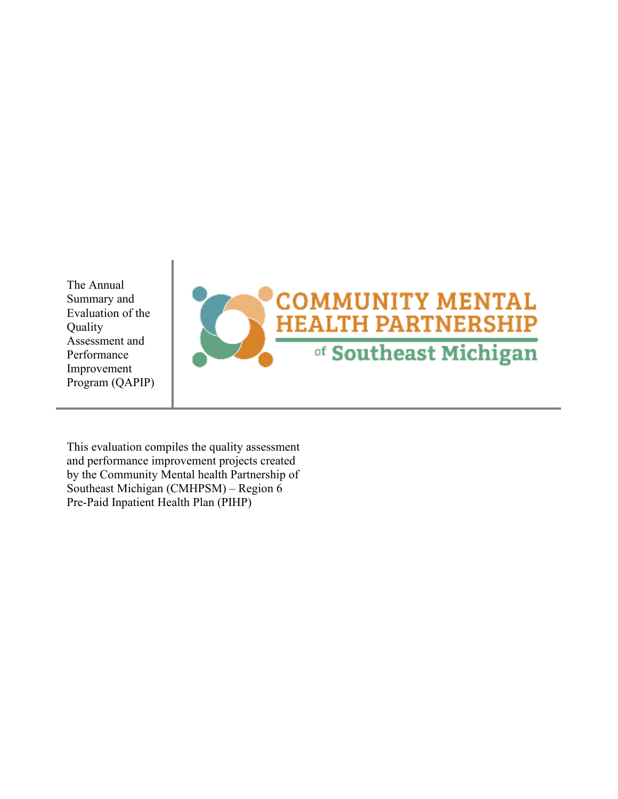The Annual Summary and Evaluation of the Quality Assessment and Performance Improvement Program (QAPIP)



This evaluation compiles the quality assessment and performance improvement projects created by the Community Mental health Partnership of Southeast Michigan (CMHPSM) – Region 6 Pre-Paid Inpatient Health Plan (PIHP)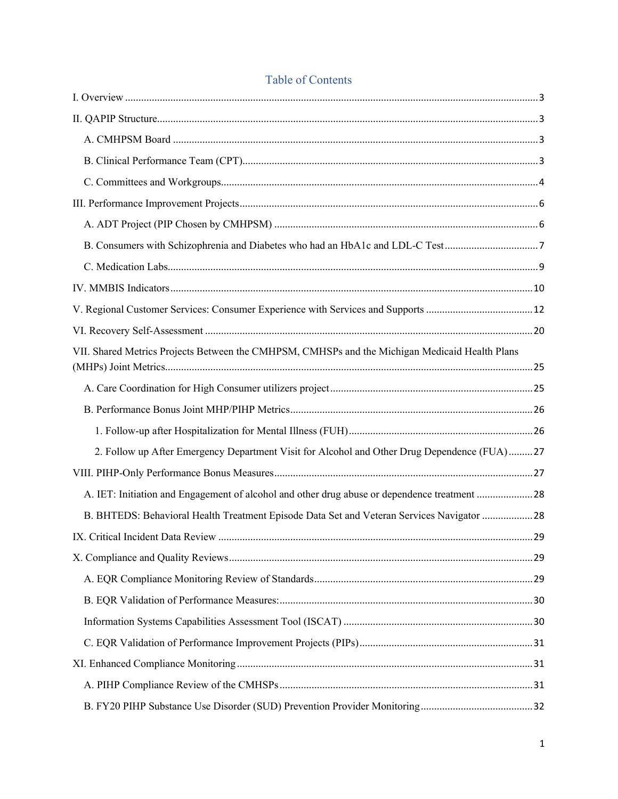| B. Consumers with Schizophrenia and Diabetes who had an HbA1c and LDL-C Test7                  |  |
|------------------------------------------------------------------------------------------------|--|
|                                                                                                |  |
|                                                                                                |  |
|                                                                                                |  |
|                                                                                                |  |
| VII. Shared Metrics Projects Between the CMHPSM, CMHSPs and the Michigan Medicaid Health Plans |  |
|                                                                                                |  |
|                                                                                                |  |
|                                                                                                |  |
| 2. Follow up After Emergency Department Visit for Alcohol and Other Drug Dependence (FUA)27    |  |
|                                                                                                |  |
| A. IET: Initiation and Engagement of alcohol and other drug abuse or dependence treatment 28   |  |
| B. BHTEDS: Behavioral Health Treatment Episode Data Set and Veteran Services Navigator 28      |  |
|                                                                                                |  |
|                                                                                                |  |
|                                                                                                |  |
|                                                                                                |  |
|                                                                                                |  |
|                                                                                                |  |
|                                                                                                |  |
|                                                                                                |  |
|                                                                                                |  |

# Table of Contents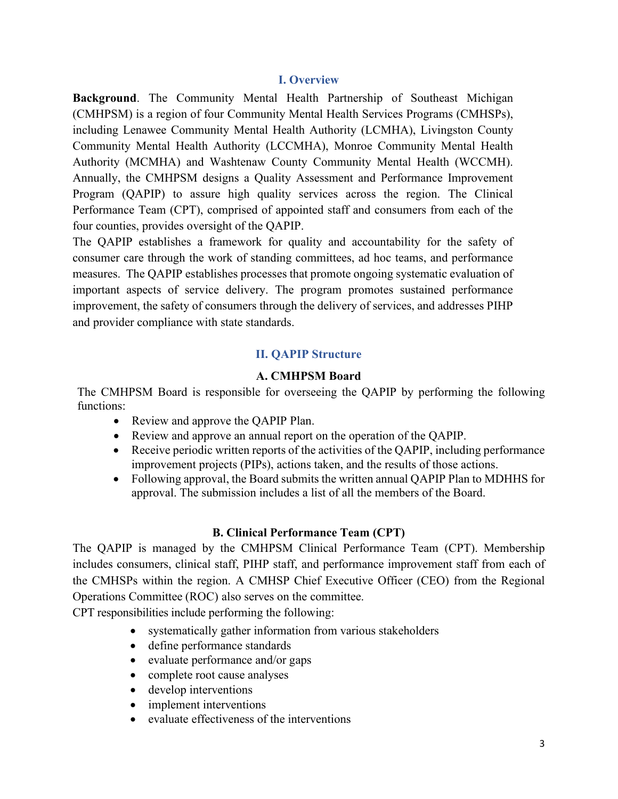#### **I. Overview**

**Background**. The Community Mental Health Partnership of Southeast Michigan (CMHPSM) is a region of four Community Mental Health Services Programs (CMHSPs), including Lenawee Community Mental Health Authority (LCMHA), Livingston County Community Mental Health Authority (LCCMHA), Monroe Community Mental Health Authority (MCMHA) and Washtenaw County Community Mental Health (WCCMH). Annually, the CMHPSM designs a Quality Assessment and Performance Improvement Program (QAPIP) to assure high quality services across the region. The Clinical Performance Team (CPT), comprised of appointed staff and consumers from each of the four counties, provides oversight of the QAPIP.

The QAPIP establishes a framework for quality and accountability for the safety of consumer care through the work of standing committees, ad hoc teams, and performance measures. The QAPIP establishes processes that promote ongoing systematic evaluation of important aspects of service delivery. The program promotes sustained performance improvement, the safety of consumers through the delivery of services, and addresses PIHP and provider compliance with state standards.

#### **II. QAPIP Structure**

#### **A. CMHPSM Board**

The CMHPSM Board is responsible for overseeing the QAPIP by performing the following functions:

- Review and approve the QAPIP Plan.
- Review and approve an annual report on the operation of the QAPIP.
- Receive periodic written reports of the activities of the QAPIP, including performance improvement projects (PIPs), actions taken, and the results of those actions.
- Following approval, the Board submits the written annual QAPIP Plan to MDHHS for approval. The submission includes a list of all the members of the Board.

## **B. Clinical Performance Team (CPT)**

The QAPIP is managed by the CMHPSM Clinical Performance Team (CPT). Membership includes consumers, clinical staff, PIHP staff, and performance improvement staff from each of the CMHSPs within the region. A CMHSP Chief Executive Officer (CEO) from the Regional Operations Committee (ROC) also serves on the committee.

CPT responsibilities include performing the following:

- systematically gather information from various stakeholders
- define performance standards
- evaluate performance and/or gaps
- complete root cause analyses
- develop interventions
- implement interventions
- evaluate effectiveness of the interventions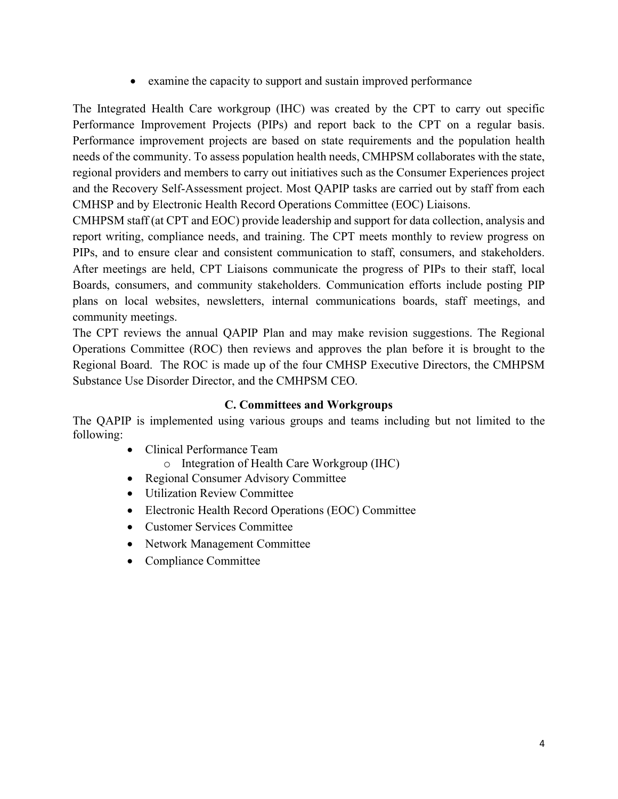examine the capacity to support and sustain improved performance

The Integrated Health Care workgroup (IHC) was created by the CPT to carry out specific Performance Improvement Projects (PIPs) and report back to the CPT on a regular basis. Performance improvement projects are based on state requirements and the population health needs of the community. To assess population health needs, CMHPSM collaborates with the state, regional providers and members to carry out initiatives such as the Consumer Experiences project and the Recovery Self-Assessment project. Most QAPIP tasks are carried out by staff from each CMHSP and by Electronic Health Record Operations Committee (EOC) Liaisons.

CMHPSM staff (at CPT and EOC) provide leadership and support for data collection, analysis and report writing, compliance needs, and training. The CPT meets monthly to review progress on PIPs, and to ensure clear and consistent communication to staff, consumers, and stakeholders. After meetings are held, CPT Liaisons communicate the progress of PIPs to their staff, local Boards, consumers, and community stakeholders. Communication efforts include posting PIP plans on local websites, newsletters, internal communications boards, staff meetings, and community meetings.

The CPT reviews the annual QAPIP Plan and may make revision suggestions. The Regional Operations Committee (ROC) then reviews and approves the plan before it is brought to the Regional Board. The ROC is made up of the four CMHSP Executive Directors, the CMHPSM Substance Use Disorder Director, and the CMHPSM CEO.

## **C. Committees and Workgroups**

The QAPIP is implemented using various groups and teams including but not limited to the following:

- Clinical Performance Team o Integration of Health Care Workgroup (IHC)
- Regional Consumer Advisory Committee
- Utilization Review Committee
- Electronic Health Record Operations (EOC) Committee
- Customer Services Committee
- Network Management Committee
- Compliance Committee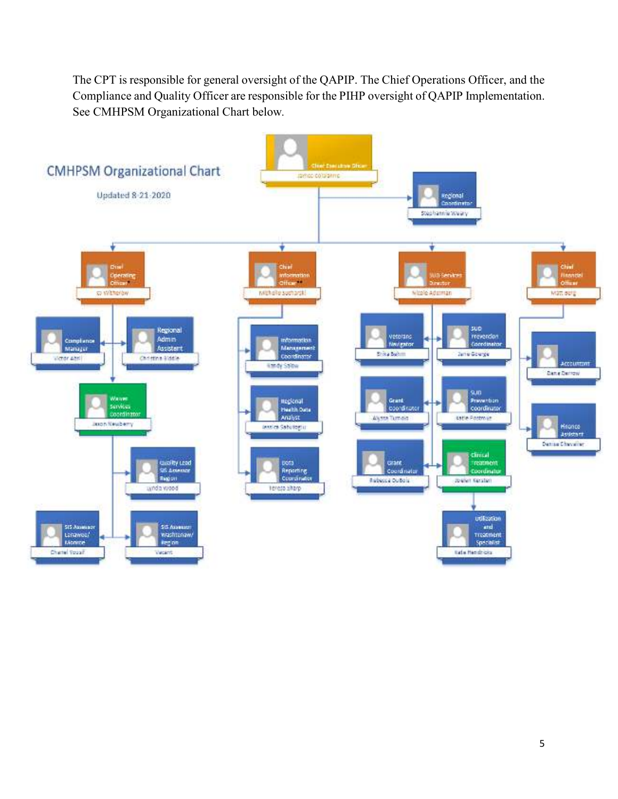The CPT is responsible for general oversight of the QAPIP. The Chief Operations Officer, and the Compliance and Quality Officer are responsible for the PIHP oversight of QAPIP Implementation. See CMHPSM Organizational Chart below*.* 

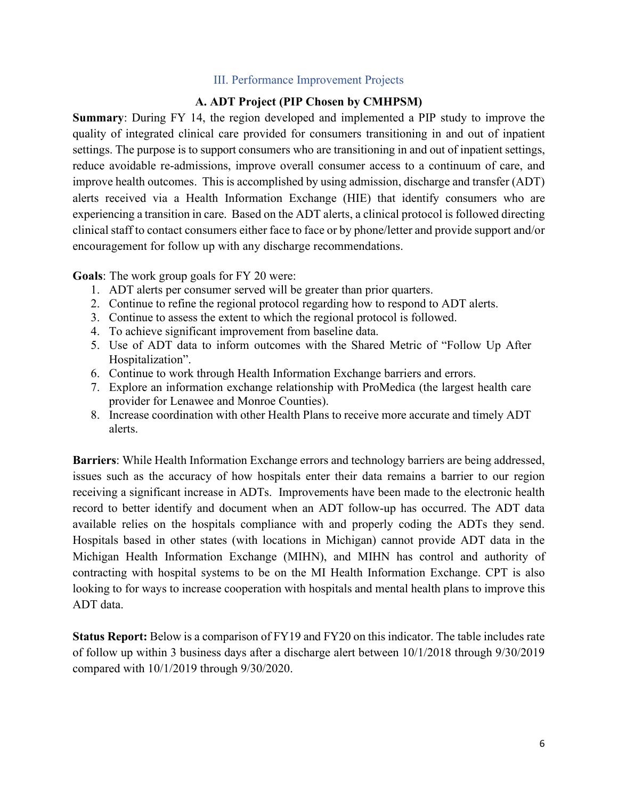#### III. Performance Improvement Projects

### **A. ADT Project (PIP Chosen by CMHPSM)**

**Summary**: During FY 14, the region developed and implemented a PIP study to improve the quality of integrated clinical care provided for consumers transitioning in and out of inpatient settings. The purpose is to support consumers who are transitioning in and out of inpatient settings, reduce avoidable re-admissions, improve overall consumer access to a continuum of care, and improve health outcomes. This is accomplished by using admission, discharge and transfer (ADT) alerts received via a Health Information Exchange (HIE) that identify consumers who are experiencing a transition in care. Based on the ADT alerts, a clinical protocol is followed directing clinical staff to contact consumers either face to face or by phone/letter and provide support and/or encouragement for follow up with any discharge recommendations.

**Goals**: The work group goals for FY 20 were:

- 1. ADT alerts per consumer served will be greater than prior quarters.
- 2. Continue to refine the regional protocol regarding how to respond to ADT alerts.
- 3. Continue to assess the extent to which the regional protocol is followed.
- 4. To achieve significant improvement from baseline data.
- 5. Use of ADT data to inform outcomes with the Shared Metric of "Follow Up After Hospitalization".
- 6. Continue to work through Health Information Exchange barriers and errors.
- 7. Explore an information exchange relationship with ProMedica (the largest health care provider for Lenawee and Monroe Counties).
- 8. Increase coordination with other Health Plans to receive more accurate and timely ADT alerts.

**Barriers**: While Health Information Exchange errors and technology barriers are being addressed, issues such as the accuracy of how hospitals enter their data remains a barrier to our region receiving a significant increase in ADTs. Improvements have been made to the electronic health record to better identify and document when an ADT follow-up has occurred. The ADT data available relies on the hospitals compliance with and properly coding the ADTs they send. Hospitals based in other states (with locations in Michigan) cannot provide ADT data in the Michigan Health Information Exchange (MIHN), and MIHN has control and authority of contracting with hospital systems to be on the MI Health Information Exchange. CPT is also looking to for ways to increase cooperation with hospitals and mental health plans to improve this ADT data.

**Status Report:** Below is a comparison of FY19 and FY20 on this indicator. The table includes rate of follow up within 3 business days after a discharge alert between 10/1/2018 through 9/30/2019 compared with 10/1/2019 through 9/30/2020.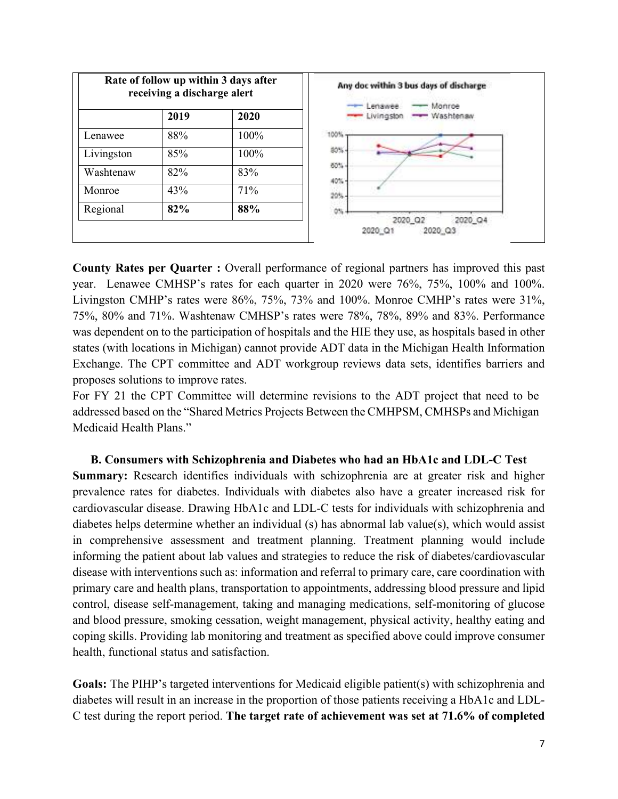| Rate of follow up within 3 days after<br>receiving a discharge alert |      |      | Any doc within 3 bus days of discharge<br>Monroe<br>Lenawee |
|----------------------------------------------------------------------|------|------|-------------------------------------------------------------|
|                                                                      | 2019 | 2020 | - Washtenaw<br>Livingston                                   |
| Lenawee                                                              | 88%  | 100% | 100%                                                        |
| Livingston                                                           | 85%  | 100% | 80%                                                         |
| Washtenaw                                                            | 82%  | 83%  | 60%<br>40%                                                  |
| Monroe                                                               | 43%  | 71%  | ids.                                                        |
| Regional                                                             | 82%  | 88%  | 0%                                                          |
|                                                                      |      |      | 2020_Q4<br>2020 Q2<br>2020 Q3<br>2020 Q1                    |

**County Rates per Quarter :** Overall performance of regional partners has improved this past year. Lenawee CMHSP's rates for each quarter in 2020 were 76%, 75%, 100% and 100%. Livingston CMHP's rates were 86%, 75%, 73% and 100%. Monroe CMHP's rates were 31%, 75%, 80% and 71%. Washtenaw CMHSP's rates were 78%, 78%, 89% and 83%. Performance was dependent on to the participation of hospitals and the HIE they use, as hospitals based in other states (with locations in Michigan) cannot provide ADT data in the Michigan Health Information Exchange. The CPT committee and ADT workgroup reviews data sets, identifies barriers and proposes solutions to improve rates.

For FY 21 the CPT Committee will determine revisions to the ADT project that need to be addressed based on the "Shared Metrics Projects Between the CMHPSM, CMHSPs and Michigan Medicaid Health Plans."

**B. Consumers with Schizophrenia and Diabetes who had an HbA1c and LDL-C Test Summary:** Research identifies individuals with schizophrenia are at greater risk and higher prevalence rates for diabetes. Individuals with diabetes also have a greater increased risk for cardiovascular disease. Drawing HbA1c and LDL-C tests for individuals with schizophrenia and diabetes helps determine whether an individual (s) has abnormal lab value(s), which would assist in comprehensive assessment and treatment planning. Treatment planning would include informing the patient about lab values and strategies to reduce the risk of diabetes/cardiovascular disease with interventions such as: information and referral to primary care, care coordination with primary care and health plans, transportation to appointments, addressing blood pressure and lipid control, disease self-management, taking and managing medications, self-monitoring of glucose and blood pressure, smoking cessation, weight management, physical activity, healthy eating and coping skills. Providing lab monitoring and treatment as specified above could improve consumer health, functional status and satisfaction.

**Goals:** The PIHP's targeted interventions for Medicaid eligible patient(s) with schizophrenia and diabetes will result in an increase in the proportion of those patients receiving a HbA1c and LDL-C test during the report period. **The target rate of achievement was set at 71.6% of completed**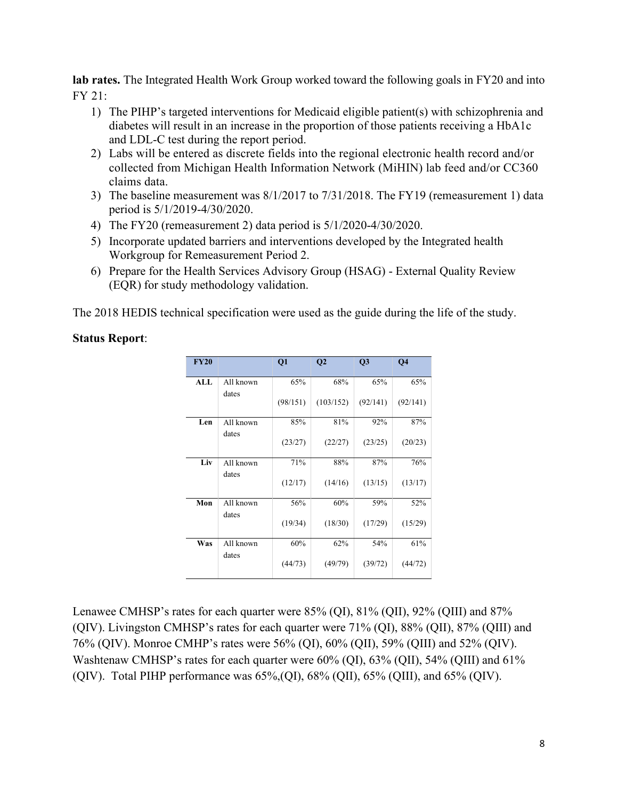**lab rates.** The Integrated Health Work Group worked toward the following goals in FY20 and into FY 21:

- 1) The PIHP's targeted interventions for Medicaid eligible patient(s) with schizophrenia and diabetes will result in an increase in the proportion of those patients receiving a HbA1c and LDL-C test during the report period.
- 2) Labs will be entered as discrete fields into the regional electronic health record and/or collected from Michigan Health Information Network (MiHIN) lab feed and/or CC360 claims data.
- 3) The baseline measurement was 8/1/2017 to 7/31/2018. The FY19 (remeasurement 1) data period is 5/1/2019-4/30/2020.
- 4) The FY20 (remeasurement 2) data period is 5/1/2020-4/30/2020.
- 5) Incorporate updated barriers and interventions developed by the Integrated health Workgroup for Remeasurement Period 2.
- 6) Prepare for the Health Services Advisory Group (HSAG) External Quality Review (EQR) for study methodology validation.

The 2018 HEDIS technical specification were used as the guide during the life of the study.

### **Status Report**:

| <b>FY20</b> |           | Q1       | Q <sub>2</sub> | Q3       | <b>O4</b> |
|-------------|-----------|----------|----------------|----------|-----------|
| ALL         | All known | 65%      | 68%            | 65%      | 65%       |
|             | dates     | (98/151) | (103/152)      | (92/141) | (92/141)  |
| Len         | All known | 85%      | 81%            | 92%      | 87%       |
|             | dates     | (23/27)  | (22/27)        | (23/25)  | (20/23)   |
| Liv         | All known | 71%      | 88%            | 87%      | 76%       |
|             | dates     | (12/17)  | (14/16)        | (13/15)  | (13/17)   |
| Mon         | All known | 56%      | 60%            | 59%      | 52%       |
|             | dates     | (19/34)  | (18/30)        | (17/29)  | (15/29)   |
| Was         | All known | 60%      | 62%            | 54%      | 61%       |
|             | dates     | (44/73)  | (49/79)        | (39/72)  | (44/72)   |

Lenawee CMHSP's rates for each quarter were 85% (QI), 81% (QII), 92% (QIII) and 87% (QIV). Livingston CMHSP's rates for each quarter were 71% (QI), 88% (QII), 87% (QIII) and 76% (QIV). Monroe CMHP's rates were 56% (QI), 60% (QII), 59% (QIII) and 52% (QIV). Washtenaw CMHSP's rates for each quarter were 60% (QI), 63% (QII), 54% (QIII) and 61% (OIV). Total PIHP performance was  $65\%$ , (OI),  $68\%$  (OII),  $65\%$  (OIII), and  $65\%$  (OIV).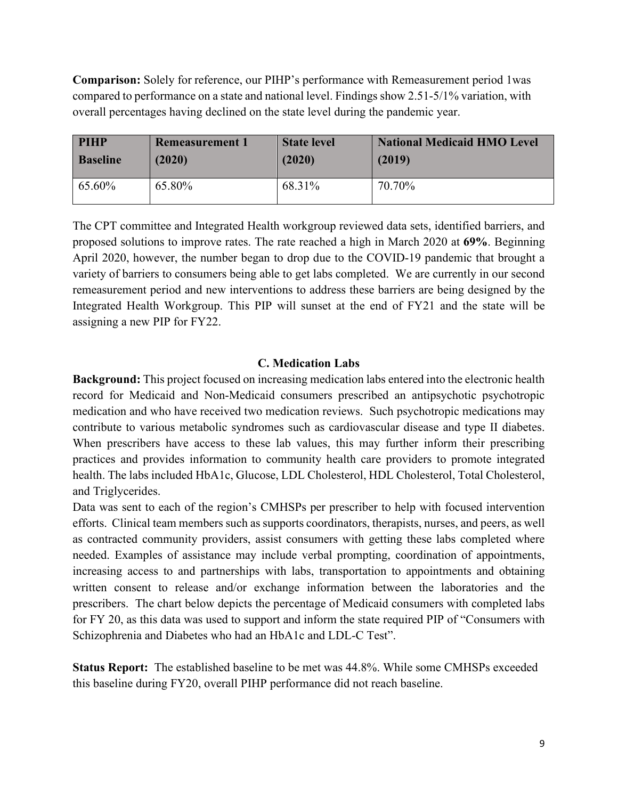**Comparison:** Solely for reference, our PIHP's performance with Remeasurement period 1was compared to performance on a state and national level. Findings show 2.51-5/1% variation, with overall percentages having declined on the state level during the pandemic year.

| <b>PIHP</b>     | <b>Remeasurement 1</b> | <b>State level</b> | <b>National Medicaid HMO Level</b> |
|-----------------|------------------------|--------------------|------------------------------------|
| <b>Baseline</b> | (2020)                 | (2020)             | (2019)                             |
| 65.60%          | 65.80%                 | 68.31%             | 70.70%                             |

The CPT committee and Integrated Health workgroup reviewed data sets, identified barriers, and proposed solutions to improve rates. The rate reached a high in March 2020 at **69%**. Beginning April 2020, however, the number began to drop due to the COVID-19 pandemic that brought a variety of barriers to consumers being able to get labs completed. We are currently in our second remeasurement period and new interventions to address these barriers are being designed by the Integrated Health Workgroup. This PIP will sunset at the end of FY21 and the state will be assigning a new PIP for FY22.

### **C. Medication Labs**

**Background:** This project focused on increasing medication labs entered into the electronic health record for Medicaid and Non-Medicaid consumers prescribed an antipsychotic psychotropic medication and who have received two medication reviews. Such psychotropic medications may contribute to various metabolic syndromes such as cardiovascular disease and type II diabetes. When prescribers have access to these lab values, this may further inform their prescribing practices and provides information to community health care providers to promote integrated health. The labs included HbA1c, Glucose, LDL Cholesterol, HDL Cholesterol, Total Cholesterol, and Triglycerides.

Data was sent to each of the region's CMHSPs per prescriber to help with focused intervention efforts. Clinical team members such as supports coordinators, therapists, nurses, and peers, as well as contracted community providers, assist consumers with getting these labs completed where needed. Examples of assistance may include verbal prompting, coordination of appointments, increasing access to and partnerships with labs, transportation to appointments and obtaining written consent to release and/or exchange information between the laboratories and the prescribers. The chart below depicts the percentage of Medicaid consumers with completed labs for FY 20, as this data was used to support and inform the state required PIP of "Consumers with Schizophrenia and Diabetes who had an HbA1c and LDL-C Test".

**Status Report:** The established baseline to be met was 44.8%. While some CMHSPs exceeded this baseline during FY20, overall PIHP performance did not reach baseline.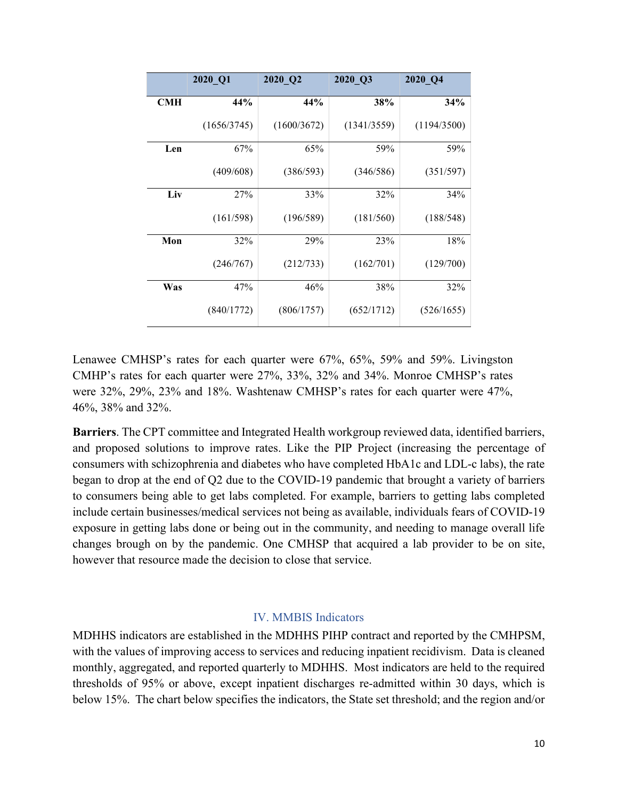|     | 2020_Q1     | 2020_Q2     | 2020 Q3     | 2020 Q4     |
|-----|-------------|-------------|-------------|-------------|
| CMH | 44%         | 44%         | 38%         | 34%         |
|     | (1656/3745) | (1600/3672) | (1341/3559) | (1194/3500) |
| Len | 67%         | 65%         | 59%         | 59%         |
|     | (409/608)   | (386/593)   | (346/586)   | (351/597)   |
| Liv | 27%         | 33%         | 32%         | 34%         |
|     | (161/598)   | (196/589)   | (181/560)   | (188/548)   |
| Mon | 32%         | 29%         | 23%         | 18%         |
|     | (246/767)   | (212/733)   | (162/701)   | (129/700)   |
| Was | 47%         | 46%         | 38%         | 32%         |
|     | (840/1772)  | (806/1757)  | (652/1712)  | (526/1655)  |

Lenawee CMHSP's rates for each quarter were 67%, 65%, 59% and 59%. Livingston CMHP's rates for each quarter were 27%, 33%, 32% and 34%. Monroe CMHSP's rates were 32%, 29%, 23% and 18%. Washtenaw CMHSP's rates for each quarter were 47%, 46%, 38% and 32%.

**Barriers**. The CPT committee and Integrated Health workgroup reviewed data, identified barriers, and proposed solutions to improve rates. Like the PIP Project (increasing the percentage of consumers with schizophrenia and diabetes who have completed HbA1c and LDL-c labs), the rate began to drop at the end of Q2 due to the COVID-19 pandemic that brought a variety of barriers to consumers being able to get labs completed. For example, barriers to getting labs completed include certain businesses/medical services not being as available, individuals fears of COVID-19 exposure in getting labs done or being out in the community, and needing to manage overall life changes brough on by the pandemic. One CMHSP that acquired a lab provider to be on site, however that resource made the decision to close that service.

#### IV. MMBIS Indicators

MDHHS indicators are established in the MDHHS PIHP contract and reported by the CMHPSM, with the values of improving access to services and reducing inpatient recidivism. Data is cleaned monthly, aggregated, and reported quarterly to MDHHS. Most indicators are held to the required thresholds of 95% or above, except inpatient discharges re-admitted within 30 days, which is below 15%. The chart below specifies the indicators, the State set threshold; and the region and/or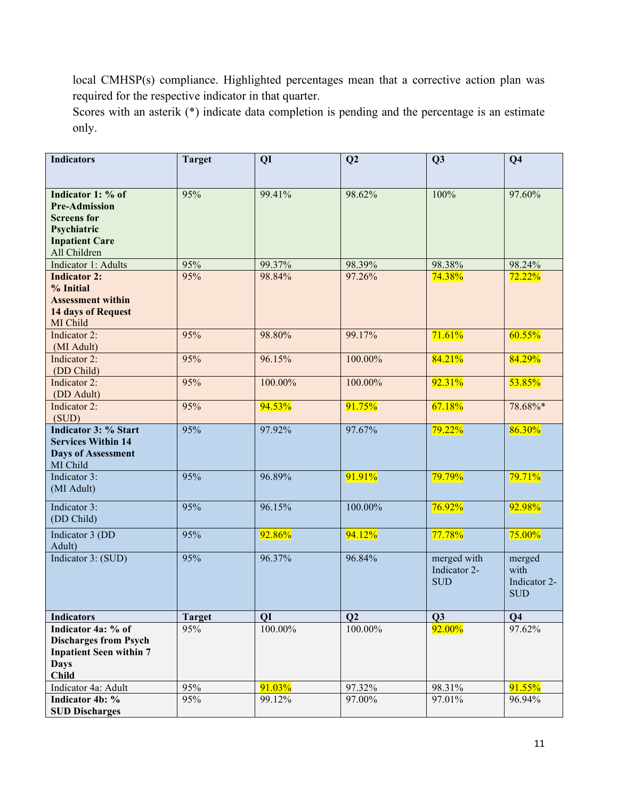local CMHSP(s) compliance. Highlighted percentages mean that a corrective action plan was required for the respective indicator in that quarter.

Scores with an asterik (\*) indicate data completion is pending and the percentage is an estimate only.

| <b>Indicators</b>                                                                                                       | <b>Target</b> | QI      | Q2         | Q <sub>3</sub>                            | Q <sub>4</sub>                               |
|-------------------------------------------------------------------------------------------------------------------------|---------------|---------|------------|-------------------------------------------|----------------------------------------------|
| Indicator 1: % of<br><b>Pre-Admission</b><br><b>Screens</b> for<br>Psychiatric<br><b>Inpatient Care</b><br>All Children | 95%           | 99.41%  | 98.62%     | 100%                                      | 97.60%                                       |
| Indicator 1: Adults                                                                                                     | 95%           | 99.37%  | 98.39%     | 98.38%                                    | 98.24%                                       |
| <b>Indicator 2:</b>                                                                                                     | 95%           | 98.84%  | 97.26%     | 74.38%                                    | 72.22%                                       |
| % Initial                                                                                                               |               |         |            |                                           |                                              |
| <b>Assessment within</b><br><b>14 days of Request</b>                                                                   |               |         |            |                                           |                                              |
| MI Child                                                                                                                |               |         |            |                                           |                                              |
| Indicator 2:                                                                                                            | 95%           | 98.80%  | 99.17%     | 71.61%                                    | 60.55%                                       |
| (MI Adult)                                                                                                              |               |         |            |                                           |                                              |
| Indicator 2:                                                                                                            | 95%           | 96.15%  | 100.00%    | 84.21%                                    | 84.29%                                       |
| (DD Child)                                                                                                              |               |         |            |                                           |                                              |
| Indicator 2:                                                                                                            | 95%           | 100.00% | 100.00%    | 92.31%                                    | 53.85%                                       |
| (DD Adult)<br>Indicator 2:                                                                                              | 95%           |         |            | 67.18%                                    | 78.68%*                                      |
| (SUD)                                                                                                                   |               | 94.53%  | 91.75%     |                                           |                                              |
| <b>Indicator 3: % Start</b>                                                                                             | 95%           | 97.92%  | 97.67%     | 79.22%                                    | 86.30%                                       |
| <b>Services Within 14</b><br><b>Days of Assessment</b><br>MI Child                                                      |               |         |            |                                           |                                              |
| Indicator 3:<br>(MI Adult)                                                                                              | 95%           | 96.89%  | 91.91%     | 79.79%                                    | 79.71%                                       |
| Indicator 3:<br>(DD Child)                                                                                              | 95%           | 96.15%  | 100.00%    | 76.92%                                    | 92.98%                                       |
| Indicator 3 (DD<br>Adult)                                                                                               | 95%           | 92.86%  | 94.12%     | 77.78%                                    | 75.00%                                       |
| Indicator 3: (SUD)                                                                                                      | 95%           | 96.37%  | 96.84%     | merged with<br>Indicator 2-<br><b>SUD</b> | merged<br>with<br>Indicator 2-<br><b>SUD</b> |
| <b>Indicators</b>                                                                                                       | <b>Target</b> | QI      | Q2         | Q3                                        | Q <sub>4</sub>                               |
| Indicator 4a: % of<br><b>Discharges from Psych</b><br><b>Inpatient Seen within 7</b><br><b>Days</b><br><b>Child</b>     | 95%           | 100.00% | $100.00\%$ | 92.00%                                    | 97.62%                                       |
| Indicator 4a: Adult                                                                                                     | 95%           | 91.03%  | 97.32%     | 98.31%                                    | 91.55%                                       |
| Indicator 4b: %                                                                                                         | 95%           | 99.12%  | 97.00%     | 97.01%                                    | 96.94%                                       |
| <b>SUD Discharges</b>                                                                                                   |               |         |            |                                           |                                              |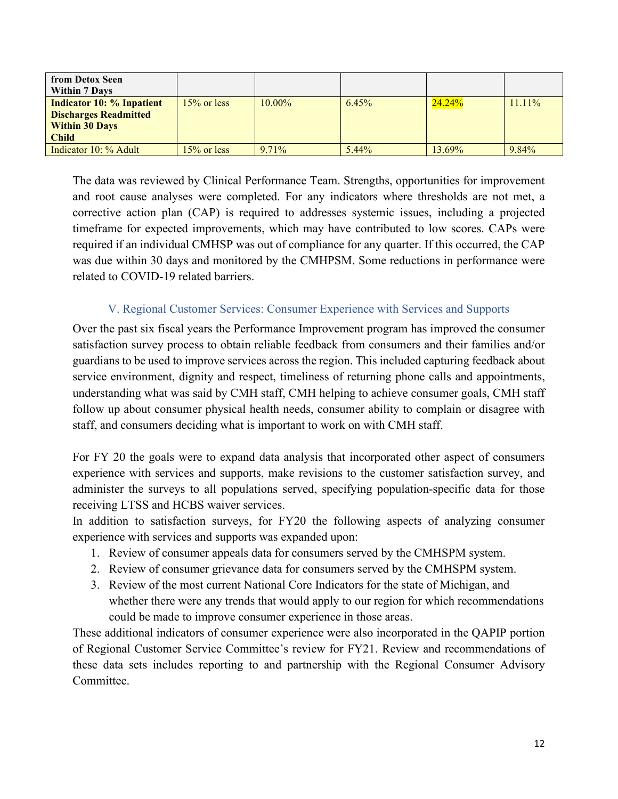| from Detox Seen                  |                |           |          |           |           |
|----------------------------------|----------------|-----------|----------|-----------|-----------|
| <b>Within 7 Days</b>             |                |           |          |           |           |
| <b>Indicator 10: % Inpatient</b> | $15\%$ or less | $10.00\%$ | 6.45%    | $24.24\%$ | $11.11\%$ |
| <b>Discharges Readmitted</b>     |                |           |          |           |           |
| <b>Within 30 Days</b>            |                |           |          |           |           |
| <b>Child</b>                     |                |           |          |           |           |
| Indicator 10: % Adult            | $15\%$ or less | $9.71\%$  | $5.44\%$ | 13.69%    | $9.84\%$  |

The data was reviewed by Clinical Performance Team. Strengths, opportunities for improvement and root cause analyses were completed. For any indicators where thresholds are not met, a corrective action plan (CAP) is required to addresses systemic issues, including a projected timeframe for expected improvements, which may have contributed to low scores. CAPs were required if an individual CMHSP was out of compliance for any quarter. If this occurred, the CAP was due within 30 days and monitored by the CMHPSM. Some reductions in performance were related to COVID-19 related barriers.

## V. Regional Customer Services: Consumer Experience with Services and Supports

Over the past six fiscal years the Performance Improvement program has improved the consumer satisfaction survey process to obtain reliable feedback from consumers and their families and/or guardians to be used to improve services across the region. This included capturing feedback about service environment, dignity and respect, timeliness of returning phone calls and appointments, understanding what was said by CMH staff, CMH helping to achieve consumer goals, CMH staff follow up about consumer physical health needs, consumer ability to complain or disagree with staff, and consumers deciding what is important to work on with CMH staff.

For FY 20 the goals were to expand data analysis that incorporated other aspect of consumers experience with services and supports, make revisions to the customer satisfaction survey, and administer the surveys to all populations served, specifying population-specific data for those receiving LTSS and HCBS waiver services.

In addition to satisfaction surveys, for FY20 the following aspects of analyzing consumer experience with services and supports was expanded upon:

- 1. Review of consumer appeals data for consumers served by the CMHSPM system.
- 2. Review of consumer grievance data for consumers served by the CMHSPM system.
- 3. Review of the most current National Core Indicators for the state of Michigan, and whether there were any trends that would apply to our region for which recommendations could be made to improve consumer experience in those areas.

These additional indicators of consumer experience were also incorporated in the QAPIP portion of Regional Customer Service Committee's review for FY21. Review and recommendations of these data sets includes reporting to and partnership with the Regional Consumer Advisory Committee.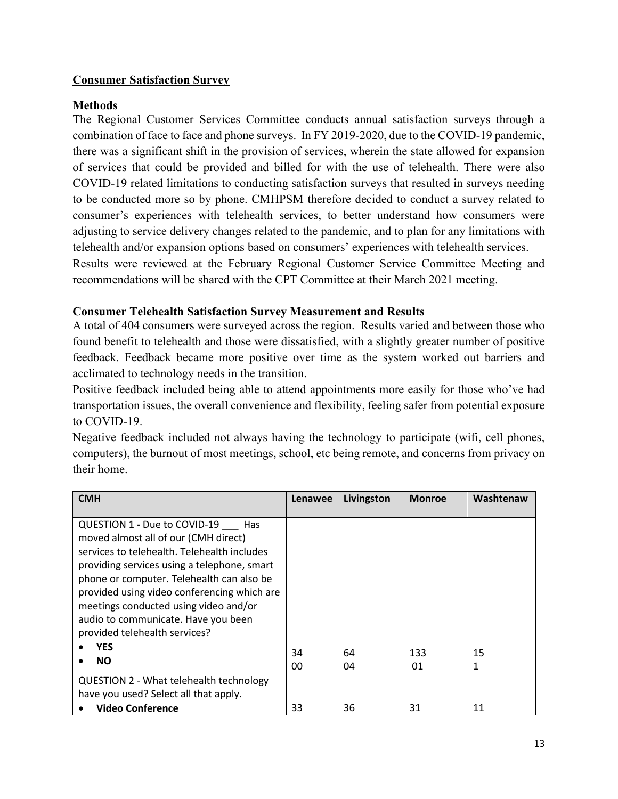## **Consumer Satisfaction Survey**

## **Methods**

The Regional Customer Services Committee conducts annual satisfaction surveys through a combination of face to face and phone surveys. In FY 2019-2020, due to the COVID-19 pandemic, there was a significant shift in the provision of services, wherein the state allowed for expansion of services that could be provided and billed for with the use of telehealth. There were also COVID-19 related limitations to conducting satisfaction surveys that resulted in surveys needing to be conducted more so by phone. CMHPSM therefore decided to conduct a survey related to consumer's experiences with telehealth services, to better understand how consumers were adjusting to service delivery changes related to the pandemic, and to plan for any limitations with telehealth and/or expansion options based on consumers' experiences with telehealth services. Results were reviewed at the February Regional Customer Service Committee Meeting and recommendations will be shared with the CPT Committee at their March 2021 meeting.

## **Consumer Telehealth Satisfaction Survey Measurement and Results**

A total of 404 consumers were surveyed across the region. Results varied and between those who found benefit to telehealth and those were dissatisfied, with a slightly greater number of positive feedback. Feedback became more positive over time as the system worked out barriers and acclimated to technology needs in the transition.

Positive feedback included being able to attend appointments more easily for those who've had transportation issues, the overall convenience and flexibility, feeling safer from potential exposure to COVID-19.

Negative feedback included not always having the technology to participate (wifi, cell phones, computers), the burnout of most meetings, school, etc being remote, and concerns from privacy on their home.

| <b>CMH</b>                                  | Lenawee | Livingston | <b>Monroe</b> | Washtenaw |
|---------------------------------------------|---------|------------|---------------|-----------|
|                                             |         |            |               |           |
| QUESTION 1 - Due to COVID-19<br>- Has       |         |            |               |           |
| moved almost all of our (CMH direct)        |         |            |               |           |
| services to telehealth. Telehealth includes |         |            |               |           |
| providing services using a telephone, smart |         |            |               |           |
| phone or computer. Telehealth can also be   |         |            |               |           |
| provided using video conferencing which are |         |            |               |           |
| meetings conducted using video and/or       |         |            |               |           |
| audio to communicate. Have you been         |         |            |               |           |
| provided telehealth services?               |         |            |               |           |
| YES                                         | 34      | 64         | 133           | 15        |
| <b>NO</b>                                   |         |            |               |           |
|                                             | 00      | 04         | 01            | 1         |
| QUESTION 2 - What telehealth technology     |         |            |               |           |
| have you used? Select all that apply.       |         |            |               |           |
| <b>Video Conference</b>                     | 33      | 36         | 31            | 11        |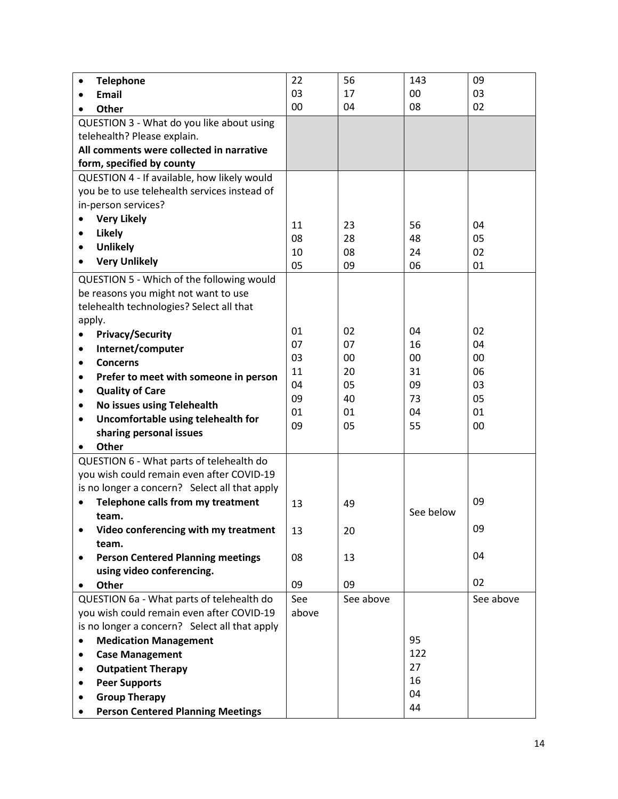| <b>Telephone</b><br>$\bullet$                     | 22    | 56        | 143       | 09        |
|---------------------------------------------------|-------|-----------|-----------|-----------|
| Email                                             | 03    | 17        | 00        | 03        |
| Other                                             | 00    | 04        | 08        | 02        |
| QUESTION 3 - What do you like about using         |       |           |           |           |
| telehealth? Please explain.                       |       |           |           |           |
| All comments were collected in narrative          |       |           |           |           |
| form, specified by county                         |       |           |           |           |
| QUESTION 4 - If available, how likely would       |       |           |           |           |
| you be to use telehealth services instead of      |       |           |           |           |
| in-person services?                               |       |           |           |           |
| <b>Very Likely</b>                                | 11    | 23        | 56        | 04        |
| <b>Likely</b><br>$\bullet$                        | 08    | 28        | 48        | 05        |
| <b>Unlikely</b><br>$\bullet$                      | 10    | 08        | 24        | 02        |
| <b>Very Unlikely</b><br>$\bullet$                 | 05    | 09        | 06        | 01        |
|                                                   |       |           |           |           |
| QUESTION 5 - Which of the following would         |       |           |           |           |
| be reasons you might not want to use              |       |           |           |           |
| telehealth technologies? Select all that          |       |           |           |           |
| apply.                                            | 01    | 02        | 04        | 02        |
| <b>Privacy/Security</b><br>$\bullet$              | 07    | 07        | 16        | 04        |
| Internet/computer<br>٠                            | 03    | 00        | 00        | 00        |
| <b>Concerns</b><br>$\bullet$                      | 11    | 20        | 31        | 06        |
| Prefer to meet with someone in person<br>٠        | 04    | 05        | 09        | 03        |
| <b>Quality of Care</b><br>$\bullet$               | 09    | 40        | 73        | 05        |
| No issues using Telehealth<br>٠                   | 01    | 01        | 04        | 01        |
| Uncomfortable using telehealth for<br>$\bullet$   | 09    | 05        | 55        | 00        |
| sharing personal issues                           |       |           |           |           |
| Other                                             |       |           |           |           |
| QUESTION 6 - What parts of telehealth do          |       |           |           |           |
| you wish could remain even after COVID-19         |       |           |           |           |
| is no longer a concern? Select all that apply     |       |           |           |           |
| Telephone calls from my treatment                 | 13    | 49        |           | 09        |
| team.                                             |       |           | See below |           |
| Video conferencing with my treatment<br>$\bullet$ | 13    | 20        |           | 09        |
| team.                                             |       |           |           |           |
| <b>Person Centered Planning meetings</b><br>٠     | 08    | 13        |           | 04        |
| using video conferencing.                         |       |           |           |           |
| Other                                             | 09    | 09        |           | 02        |
| QUESTION 6a - What parts of telehealth do         | See   | See above |           | See above |
| you wish could remain even after COVID-19         | above |           |           |           |
| is no longer a concern? Select all that apply     |       |           |           |           |
| <b>Medication Management</b><br>$\bullet$         |       |           | 95        |           |
| <b>Case Management</b>                            |       |           | 122       |           |
| <b>Outpatient Therapy</b>                         |       |           | 27        |           |
| <b>Peer Supports</b>                              |       |           | 16        |           |
| <b>Group Therapy</b>                              |       |           | 04        |           |
| <b>Person Centered Planning Meetings</b>          |       |           | 44        |           |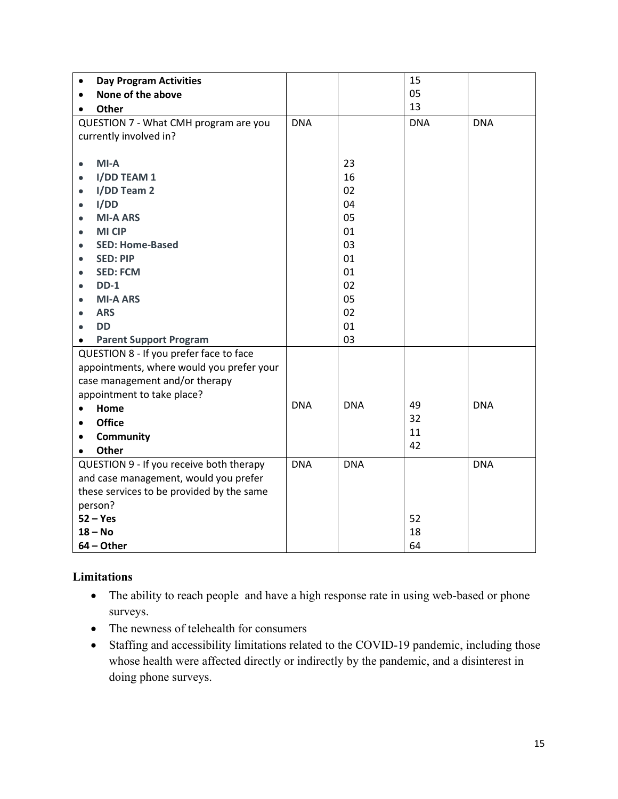| <b>Day Program Activities</b><br>$\bullet$ |            |            | 15         |            |
|--------------------------------------------|------------|------------|------------|------------|
| None of the above<br>$\bullet$             |            |            | 05         |            |
| Other<br>$\bullet$                         |            |            | 13         |            |
| QUESTION 7 - What CMH program are you      | <b>DNA</b> |            | <b>DNA</b> | <b>DNA</b> |
| currently involved in?                     |            |            |            |            |
|                                            |            |            |            |            |
| $MI-A$<br>$\bullet$                        |            | 23         |            |            |
| I/DD TEAM 1<br>$\bullet$                   |            | 16         |            |            |
| I/DD Team 2<br>$\bullet$                   |            | 02         |            |            |
| I/DD<br>$\bullet$                          |            | 04         |            |            |
| <b>MI-A ARS</b><br>$\bullet$               |            | 05         |            |            |
| <b>MI CIP</b><br>$\bullet$                 |            | 01         |            |            |
| <b>SED: Home-Based</b><br>$\bullet$        |            | 03         |            |            |
| <b>SED: PIP</b><br>$\bullet$               |            | 01         |            |            |
| <b>SED: FCM</b><br>$\bullet$               |            | 01         |            |            |
| $DD-1$<br>$\bullet$                        |            | 02         |            |            |
| <b>MI-A ARS</b><br>$\bullet$               |            | 05         |            |            |
| <b>ARS</b><br>$\bullet$                    |            | 02         |            |            |
| <b>DD</b><br>٠                             |            | 01         |            |            |
| <b>Parent Support Program</b><br>$\bullet$ |            | 03         |            |            |
| QUESTION 8 - If you prefer face to face    |            |            |            |            |
| appointments, where would you prefer your  |            |            |            |            |
| case management and/or therapy             |            |            |            |            |
| appointment to take place?                 | <b>DNA</b> | <b>DNA</b> | 49         | <b>DNA</b> |
| Home<br>$\bullet$                          |            |            | 32         |            |
| <b>Office</b><br>$\bullet$                 |            |            | 11         |            |
| Community<br>$\bullet$                     |            |            | 42         |            |
| Other                                      |            |            |            |            |
| QUESTION 9 - If you receive both therapy   | <b>DNA</b> | <b>DNA</b> |            | <b>DNA</b> |
| and case management, would you prefer      |            |            |            |            |
| these services to be provided by the same  |            |            |            |            |
| person?                                    |            |            |            |            |
| $52 - Yes$                                 |            |            | 52         |            |
| $18 - No$                                  |            |            | 18         |            |
| $64 - Other$                               |            |            | 64         |            |

## **Limitations**

- The ability to reach people and have a high response rate in using web-based or phone surveys.
- The newness of telehealth for consumers
- Staffing and accessibility limitations related to the COVID-19 pandemic, including those whose health were affected directly or indirectly by the pandemic, and a disinterest in doing phone surveys.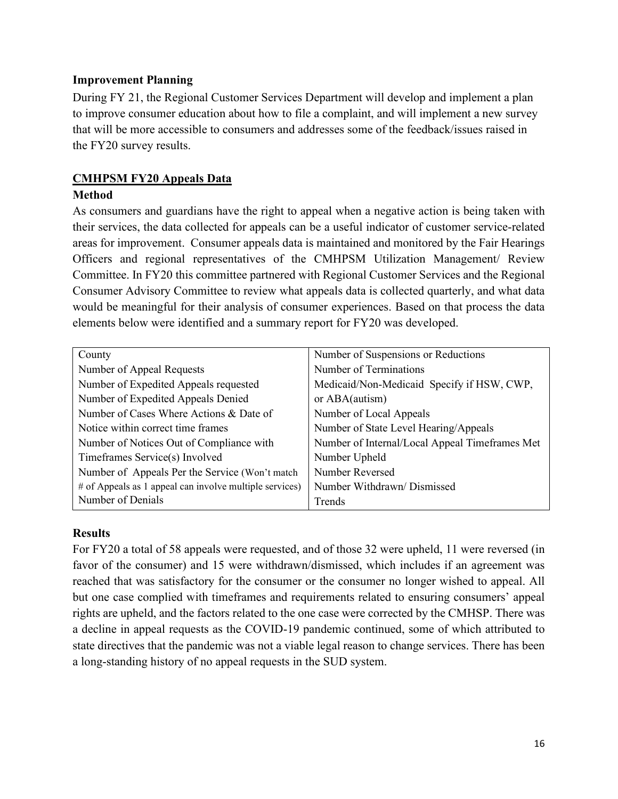### **Improvement Planning**

During FY 21, the Regional Customer Services Department will develop and implement a plan to improve consumer education about how to file a complaint, and will implement a new survey that will be more accessible to consumers and addresses some of the feedback/issues raised in the FY20 survey results.

## **CMHPSM FY20 Appeals Data**

### **Method**

As consumers and guardians have the right to appeal when a negative action is being taken with their services, the data collected for appeals can be a useful indicator of customer service-related areas for improvement. Consumer appeals data is maintained and monitored by the Fair Hearings Officers and regional representatives of the CMHPSM Utilization Management/ Review Committee. In FY20 this committee partnered with Regional Customer Services and the Regional Consumer Advisory Committee to review what appeals data is collected quarterly, and what data would be meaningful for their analysis of consumer experiences. Based on that process the data elements below were identified and a summary report for FY20 was developed.

| County                                                  | Number of Suspensions or Reductions            |
|---------------------------------------------------------|------------------------------------------------|
| Number of Appeal Requests                               | Number of Terminations                         |
| Number of Expedited Appeals requested                   | Medicaid/Non-Medicaid Specify if HSW, CWP,     |
| Number of Expedited Appeals Denied                      | or ABA(autism)                                 |
| Number of Cases Where Actions & Date of                 | Number of Local Appeals                        |
| Notice within correct time frames                       | Number of State Level Hearing/Appeals          |
| Number of Notices Out of Compliance with                | Number of Internal/Local Appeal Timeframes Met |
| Timeframes Service(s) Involved                          | Number Upheld                                  |
| Number of Appeals Per the Service (Won't match          | Number Reversed                                |
| # of Appeals as 1 appeal can involve multiple services) | Number Withdrawn/ Dismissed                    |
| Number of Denials                                       | Trends                                         |

#### **Results**

For FY20 a total of 58 appeals were requested, and of those 32 were upheld, 11 were reversed (in favor of the consumer) and 15 were withdrawn/dismissed, which includes if an agreement was reached that was satisfactory for the consumer or the consumer no longer wished to appeal. All but one case complied with timeframes and requirements related to ensuring consumers' appeal rights are upheld, and the factors related to the one case were corrected by the CMHSP. There was a decline in appeal requests as the COVID-19 pandemic continued, some of which attributed to state directives that the pandemic was not a viable legal reason to change services. There has been a long-standing history of no appeal requests in the SUD system.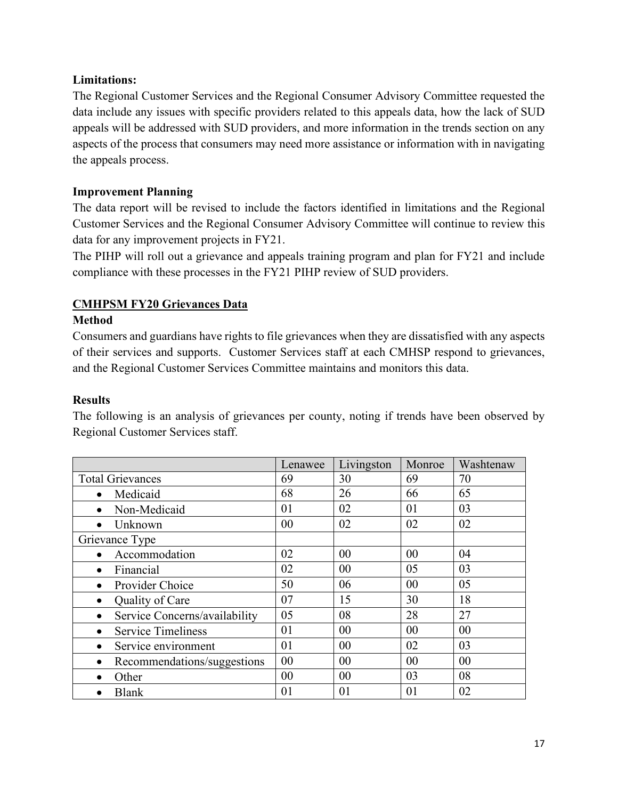## **Limitations:**

The Regional Customer Services and the Regional Consumer Advisory Committee requested the data include any issues with specific providers related to this appeals data, how the lack of SUD appeals will be addressed with SUD providers, and more information in the trends section on any aspects of the process that consumers may need more assistance or information with in navigating the appeals process.

## **Improvement Planning**

The data report will be revised to include the factors identified in limitations and the Regional Customer Services and the Regional Consumer Advisory Committee will continue to review this data for any improvement projects in FY21.

The PIHP will roll out a grievance and appeals training program and plan for FY21 and include compliance with these processes in the FY21 PIHP review of SUD providers.

# **CMHPSM FY20 Grievances Data**

## **Method**

Consumers and guardians have rights to file grievances when they are dissatisfied with any aspects of their services and supports. Customer Services staff at each CMHSP respond to grievances, and the Regional Customer Services Committee maintains and monitors this data.

### **Results**

The following is an analysis of grievances per county, noting if trends have been observed by Regional Customer Services staff.

|                                            | Lenawee | Livingston | Monroe | Washtenaw |
|--------------------------------------------|---------|------------|--------|-----------|
| <b>Total Grievances</b>                    | 69      | 30         | 69     | 70        |
| Medicaid<br>$\bullet$                      | 68      | 26         | 66     | 65        |
| Non-Medicaid<br>$\bullet$                  | 01      | 02         | 01     | 03        |
| Unknown<br>$\bullet$                       | 00      | 02         | 02     | 02        |
| Grievance Type                             |         |            |        |           |
| Accommodation<br>$\bullet$                 | 02      | 00         | 00     | 04        |
| Financial                                  | 02      | 00         | 05     | 03        |
| Provider Choice<br>$\bullet$               | 50      | 06         | 00     | 05        |
| Quality of Care<br>$\bullet$               | 07      | 15         | 30     | 18        |
| Service Concerns/availability<br>$\bullet$ | 05      | 08         | 28     | 27        |
| <b>Service Timeliness</b><br>$\bullet$     | 01      | 00         | 00     | 00        |
| Service environment<br>٠                   | 01      | 00         | 02     | 03        |
| Recommendations/suggestions<br>$\bullet$   | 00      | 00         | 00     | 00        |
| Other                                      | 00      | 00         | 03     | 08        |
| <b>Blank</b>                               | 01      | 01         | 01     | 02        |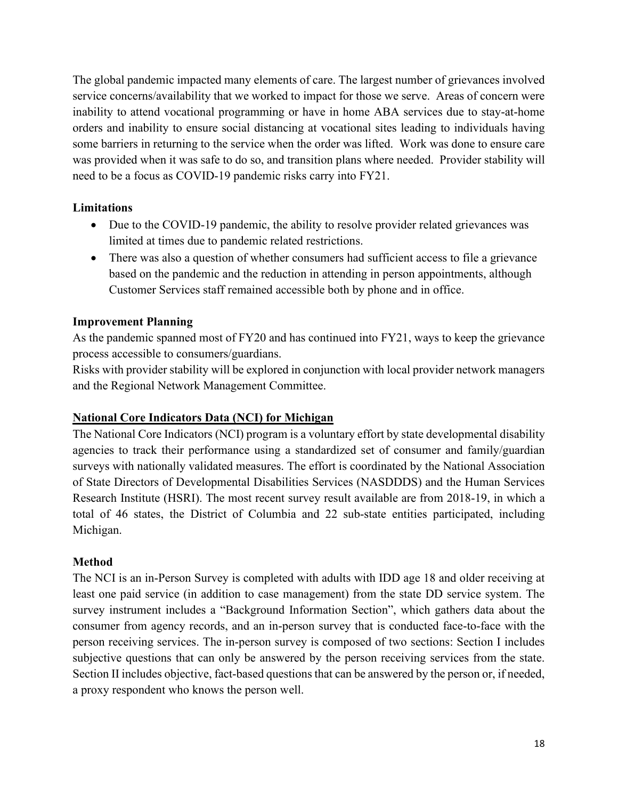The global pandemic impacted many elements of care. The largest number of grievances involved service concerns/availability that we worked to impact for those we serve. Areas of concern were inability to attend vocational programming or have in home ABA services due to stay-at-home orders and inability to ensure social distancing at vocational sites leading to individuals having some barriers in returning to the service when the order was lifted. Work was done to ensure care was provided when it was safe to do so, and transition plans where needed. Provider stability will need to be a focus as COVID-19 pandemic risks carry into FY21.

## **Limitations**

- Due to the COVID-19 pandemic, the ability to resolve provider related grievances was limited at times due to pandemic related restrictions.
- There was also a question of whether consumers had sufficient access to file a grievance based on the pandemic and the reduction in attending in person appointments, although Customer Services staff remained accessible both by phone and in office.

## **Improvement Planning**

As the pandemic spanned most of FY20 and has continued into FY21, ways to keep the grievance process accessible to consumers/guardians.

Risks with provider stability will be explored in conjunction with local provider network managers and the Regional Network Management Committee.

## **National Core Indicators Data (NCI) for Michigan**

The National Core Indicators (NCI) program is a voluntary effort by state developmental disability agencies to track their performance using a standardized set of consumer and family/guardian surveys with nationally validated measures. The effort is coordinated by the National Association of State Directors of Developmental Disabilities Services (NASDDDS) and the Human Services Research Institute (HSRI). The most recent survey result available are from 2018-19, in which a total of 46 states, the District of Columbia and 22 sub-state entities participated, including Michigan.

# **Method**

The NCI is an in-Person Survey is completed with adults with IDD age 18 and older receiving at least one paid service (in addition to case management) from the state DD service system. The survey instrument includes a "Background Information Section", which gathers data about the consumer from agency records, and an in-person survey that is conducted face-to-face with the person receiving services. The in-person survey is composed of two sections: Section I includes subjective questions that can only be answered by the person receiving services from the state. Section II includes objective, fact-based questions that can be answered by the person or, if needed, a proxy respondent who knows the person well.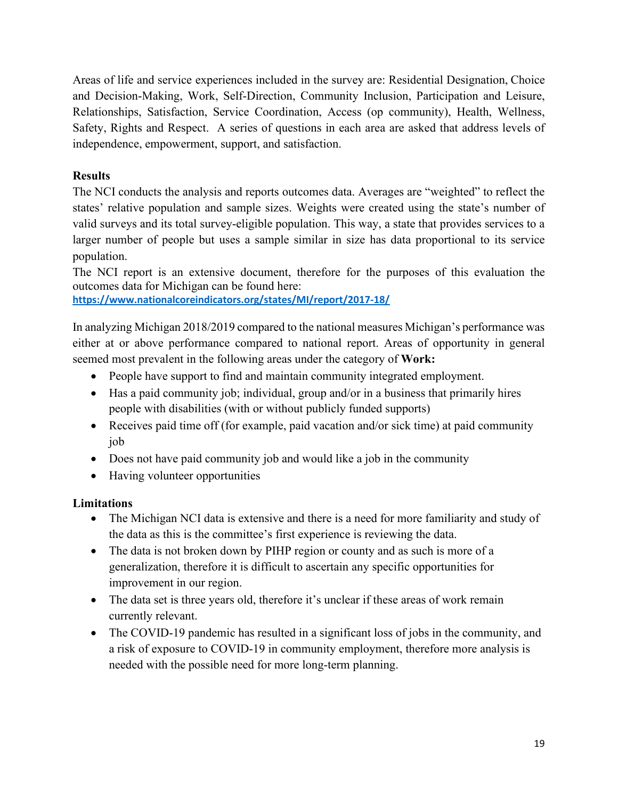Areas of life and service experiences included in the survey are: Residential Designation, Choice and Decision-Making, Work, Self-Direction, Community Inclusion, Participation and Leisure, Relationships, Satisfaction, Service Coordination, Access (op community), Health, Wellness, Safety, Rights and Respect. A series of questions in each area are asked that address levels of independence, empowerment, support, and satisfaction.

## **Results**

The NCI conducts the analysis and reports outcomes data. Averages are "weighted" to reflect the states' relative population and sample sizes. Weights were created using the state's number of valid surveys and its total survey-eligible population. This way, a state that provides services to a larger number of people but uses a sample similar in size has data proportional to its service population.

The NCI report is an extensive document, therefore for the purposes of this evaluation the outcomes data for Michigan can be found here:

**https://www.nationalcoreindicators.org/states/MI/report/2017-18/**

In analyzing Michigan 2018/2019 compared to the national measures Michigan's performance was either at or above performance compared to national report. Areas of opportunity in general seemed most prevalent in the following areas under the category of **Work:**

- People have support to find and maintain community integrated employment.
- Has a paid community job; individual, group and/or in a business that primarily hires people with disabilities (with or without publicly funded supports)
- Receives paid time off (for example, paid vacation and/or sick time) at paid community job
- Does not have paid community job and would like a job in the community
- Having volunteer opportunities

## **Limitations**

- The Michigan NCI data is extensive and there is a need for more familiarity and study of the data as this is the committee's first experience is reviewing the data.
- The data is not broken down by PIHP region or county and as such is more of a generalization, therefore it is difficult to ascertain any specific opportunities for improvement in our region.
- The data set is three years old, therefore it's unclear if these areas of work remain currently relevant.
- The COVID-19 pandemic has resulted in a significant loss of jobs in the community, and a risk of exposure to COVID-19 in community employment, therefore more analysis is needed with the possible need for more long-term planning.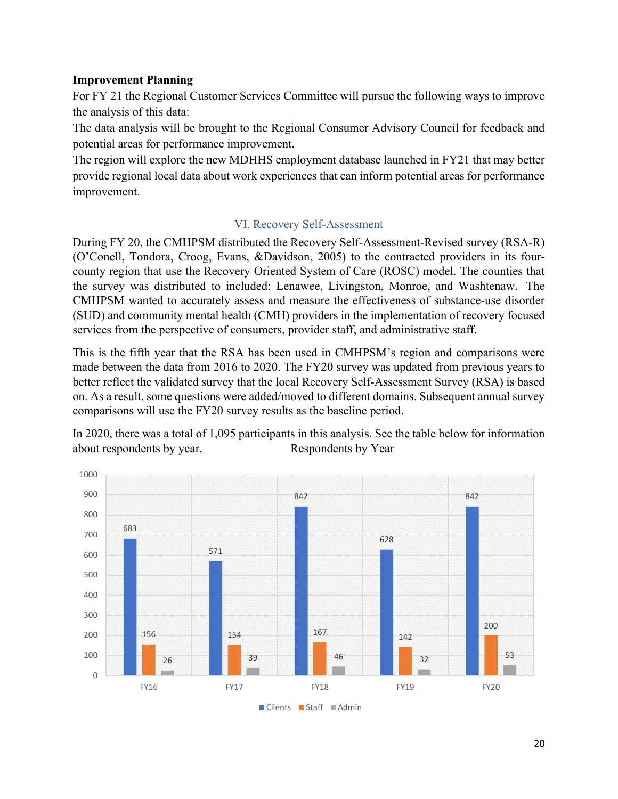## **Improvement Planning**

For FY 21 the Regional Customer Services Committee will pursue the following ways to improve the analysis of this data:

The data analysis will be brought to the Regional Consumer Advisory Council for feedback and potential areas for performance improvement.

The region will explore the new MDHHS employment database launched in FY21 that may better provide regional local data about work experiences that can inform potential areas for performance improvement.

## VI. Recovery Self-Assessment

During FY 20, the CMHPSM distributed the Recovery Self-Assessment-Revised survey (RSA-R) (O'Conell, Tondora, Croog, Evans, &Davidson, 2005) to the contracted providers in its fourcounty region that use the Recovery Oriented System of Care (ROSC) model. The counties that the survey was distributed to included: Lenawee, Livingston, Monroe, and Washtenaw. The CMHPSM wanted to accurately assess and measure the effectiveness of substance-use disorder (SUD) and community mental health (CMH) providers in the implementation of recovery focused services from the perspective of consumers, provider staff, and administrative staff.

This is the fifth year that the RSA has been used in CMHPSM's region and comparisons were made between the data from 2016 to 2020. The FY20 survey was updated from previous years to better reflect the validated survey that the local Recovery Self-Assessment Survey (RSA) is based on. As a result, some questions were added/moved to different domains. Subsequent annual survey comparisons will use the FY20 survey results as the baseline period.

In 2020, there was a total of 1,095 participants in this analysis. See the table below for information about respondents by year. Respondents by Year

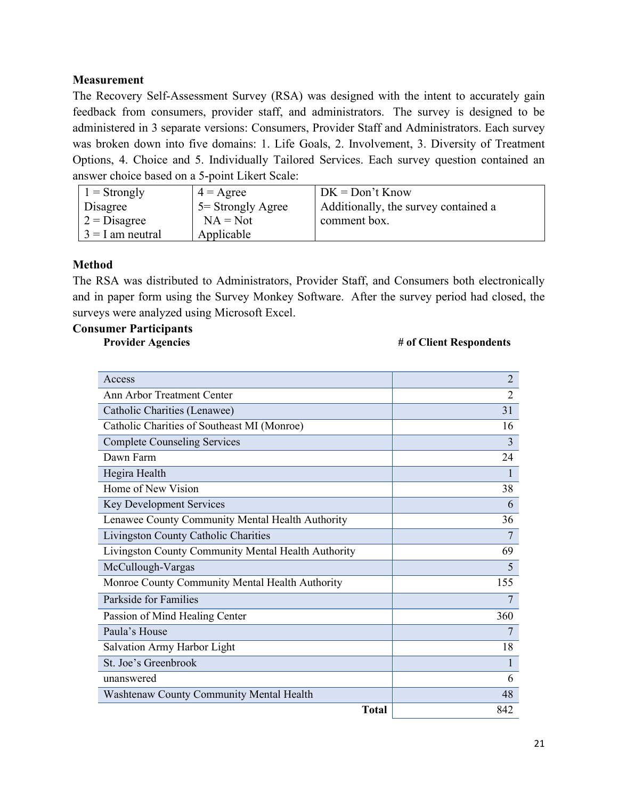## **Measurement**

The Recovery Self-Assessment Survey (RSA) was designed with the intent to accurately gain feedback from consumers, provider staff, and administrators. The survey is designed to be administered in 3 separate versions: Consumers, Provider Staff and Administrators. Each survey was broken down into five domains: 1. Life Goals, 2. Involvement, 3. Diversity of Treatment Options, 4. Choice and 5. Individually Tailored Services. Each survey question contained an answer choice based on a 5-point Likert Scale:

| $\vert$ 1 = Strongly     | $4 = \text{Agree}$   | $DK = Don't Know$                    |
|--------------------------|----------------------|--------------------------------------|
| Disagree                 | $5 =$ Strongly Agree | Additionally, the survey contained a |
| $2 = Disagree$           | $NA = Not$           | comment box.                         |
| $\vert 3 = I$ am neutral | Applicable           |                                      |

#### **Method**

The RSA was distributed to Administrators, Provider Staff, and Consumers both electronically and in paper form using the Survey Monkey Software. After the survey period had closed, the surveys were analyzed using Microsoft Excel.

### **Consumer Participants**

#### **Provider Agencies** # of Client Respondents

| Access                                              | $\overline{2}$ |
|-----------------------------------------------------|----------------|
| Ann Arbor Treatment Center                          | $\overline{2}$ |
| Catholic Charities (Lenawee)                        | 31             |
| Catholic Charities of Southeast MI (Monroe)         | 16             |
| <b>Complete Counseling Services</b>                 | $\overline{3}$ |
| Dawn Farm                                           | 24             |
| Hegira Health                                       |                |
| Home of New Vision                                  | 38             |
| Key Development Services                            | 6              |
| Lenawee County Community Mental Health Authority    | 36             |
| Livingston County Catholic Charities                | 7              |
| Livingston County Community Mental Health Authority | 69             |
| McCullough-Vargas                                   | 5              |
| Monroe County Community Mental Health Authority     | 155            |
| Parkside for Families                               | 7              |
| Passion of Mind Healing Center                      | 360            |
| Paula's House                                       | 7              |
| Salvation Army Harbor Light                         | 18             |
| St. Joe's Greenbrook                                |                |
| unanswered                                          | 6              |
| Washtenaw County Community Mental Health            | 48             |
| <b>Total</b>                                        | 842            |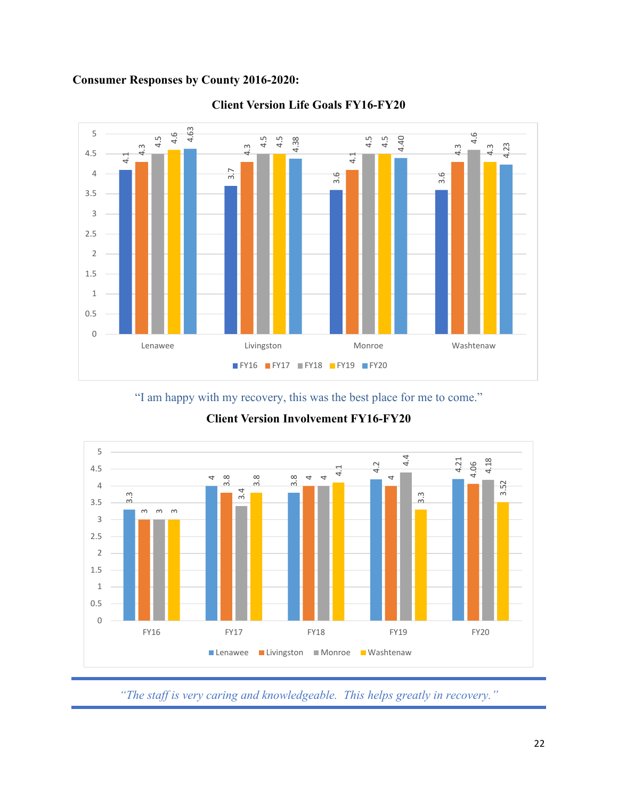# **Consumer Responses by County 2016-2020:**



## **Client Version Life Goals FY16-FY20**

"I am happy with my recovery, this was the best place for me to come."



**Client Version Involvement FY16-FY20**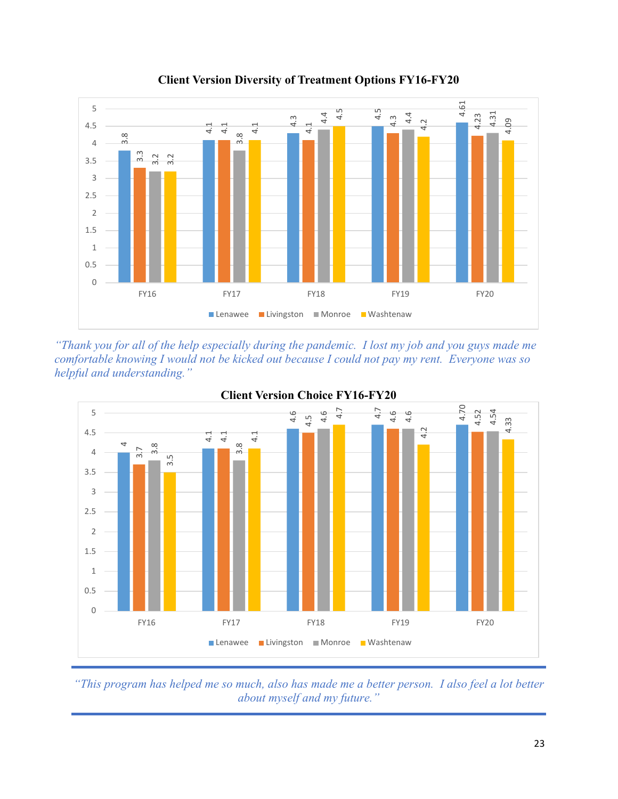

**Client Version Diversity of Treatment Options FY16-FY20** 

*"Thank you for all of the help especially during the pandemic. I lost my job and you guys made me comfortable knowing I would not be kicked out because I could not pay my rent. Everyone was so helpful and understanding."* 





*"This program has helped me so much, also has made me a better person. I also feel a lot better about myself and my future."*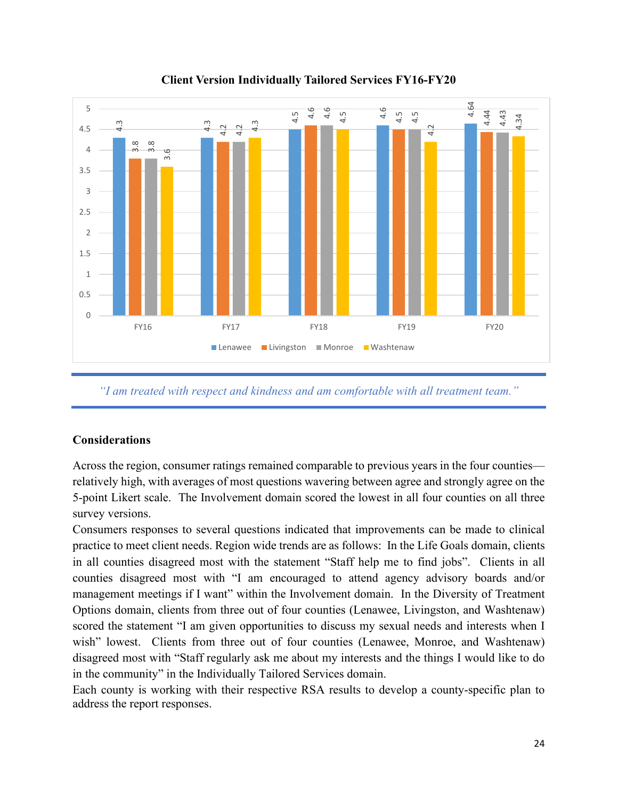

# **Client Version Individually Tailored Services FY16-FY20**

*"I am treated with respect and kindness and am comfortable with all treatment team."* 

## **Considerations**

Across the region, consumer ratings remained comparable to previous years in the four counties relatively high, with averages of most questions wavering between agree and strongly agree on the 5-point Likert scale. The Involvement domain scored the lowest in all four counties on all three survey versions.

Consumers responses to several questions indicated that improvements can be made to clinical practice to meet client needs. Region wide trends are as follows: In the Life Goals domain, clients in all counties disagreed most with the statement "Staff help me to find jobs". Clients in all counties disagreed most with "I am encouraged to attend agency advisory boards and/or management meetings if I want" within the Involvement domain. In the Diversity of Treatment Options domain, clients from three out of four counties (Lenawee, Livingston, and Washtenaw) scored the statement "I am given opportunities to discuss my sexual needs and interests when I wish" lowest. Clients from three out of four counties (Lenawee, Monroe, and Washtenaw) disagreed most with "Staff regularly ask me about my interests and the things I would like to do in the community" in the Individually Tailored Services domain.

Each county is working with their respective RSA results to develop a county-specific plan to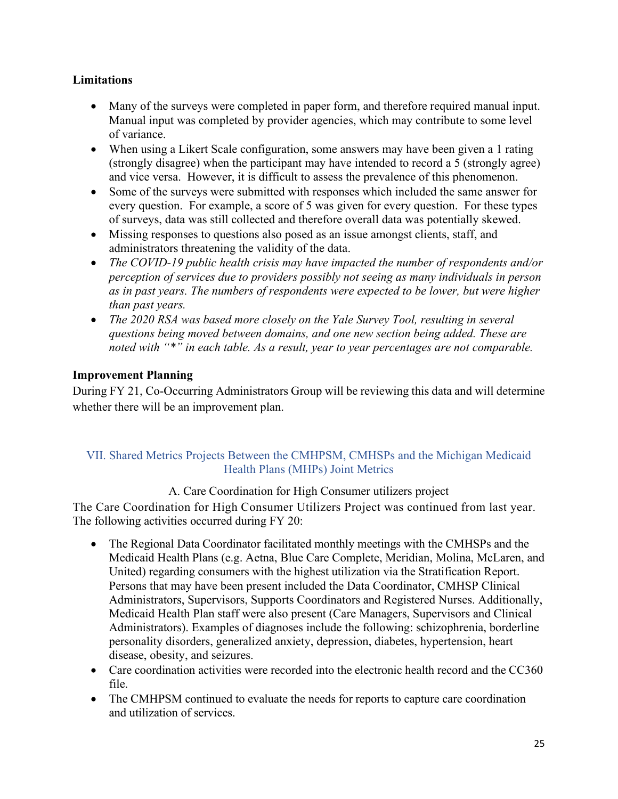## **Limitations**

- Many of the surveys were completed in paper form, and therefore required manual input. Manual input was completed by provider agencies, which may contribute to some level of variance.
- When using a Likert Scale configuration, some answers may have been given a 1 rating (strongly disagree) when the participant may have intended to record a 5 (strongly agree) and vice versa. However, it is difficult to assess the prevalence of this phenomenon.
- Some of the surveys were submitted with responses which included the same answer for every question. For example, a score of 5 was given for every question. For these types of surveys, data was still collected and therefore overall data was potentially skewed.
- Missing responses to questions also posed as an issue amongst clients, staff, and administrators threatening the validity of the data.
- *The COVID-19 public health crisis may have impacted the number of respondents and/or perception of services due to providers possibly not seeing as many individuals in person as in past years. The numbers of respondents were expected to be lower, but were higher than past years.*
- *The 2020 RSA was based more closely on the Yale Survey Tool, resulting in several questions being moved between domains, and one new section being added. These are noted with "\*" in each table. As a result, year to year percentages are not comparable.*

## **Improvement Planning**

During FY 21, Co-Occurring Administrators Group will be reviewing this data and will determine whether there will be an improvement plan.

## VII. Shared Metrics Projects Between the CMHPSM, CMHSPs and the Michigan Medicaid Health Plans (MHPs) Joint Metrics

# A. Care Coordination for High Consumer utilizers project

The Care Coordination for High Consumer Utilizers Project was continued from last year. The following activities occurred during FY 20:

- The Regional Data Coordinator facilitated monthly meetings with the CMHSPs and the Medicaid Health Plans (e.g. Aetna, Blue Care Complete, Meridian, Molina, McLaren, and United) regarding consumers with the highest utilization via the Stratification Report. Persons that may have been present included the Data Coordinator, CMHSP Clinical Administrators, Supervisors, Supports Coordinators and Registered Nurses. Additionally, Medicaid Health Plan staff were also present (Care Managers, Supervisors and Clinical Administrators). Examples of diagnoses include the following: schizophrenia, borderline personality disorders, generalized anxiety, depression, diabetes, hypertension, heart disease, obesity, and seizures.
- Care coordination activities were recorded into the electronic health record and the CC360 file.
- The CMHPSM continued to evaluate the needs for reports to capture care coordination and utilization of services.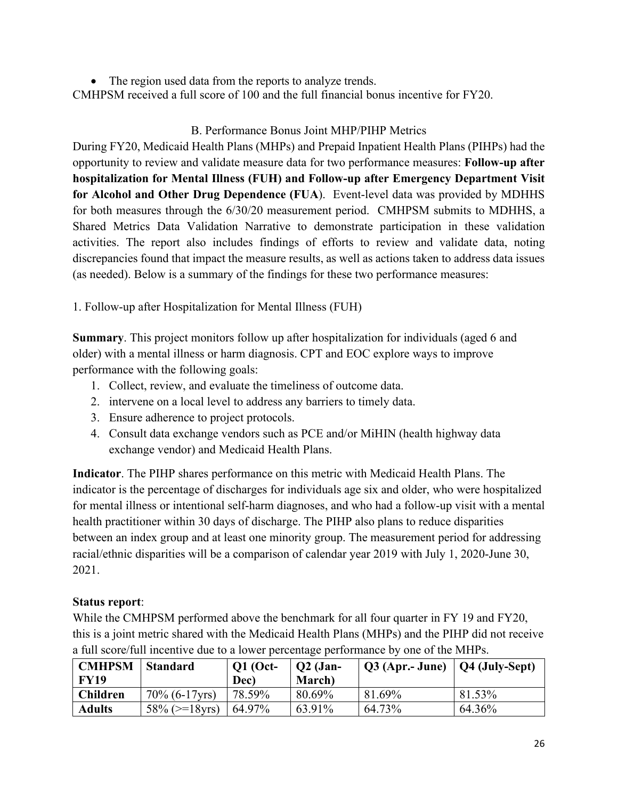• The region used data from the reports to analyze trends. CMHPSM received a full score of 100 and the full financial bonus incentive for FY20.

# B. Performance Bonus Joint MHP/PIHP Metrics

During FY20, Medicaid Health Plans (MHPs) and Prepaid Inpatient Health Plans (PIHPs) had the opportunity to review and validate measure data for two performance measures: **Follow-up after hospitalization for Mental Illness (FUH) and Follow-up after Emergency Department Visit for Alcohol and Other Drug Dependence (FUA**). Event-level data was provided by MDHHS for both measures through the 6/30/20 measurement period. CMHPSM submits to MDHHS, a Shared Metrics Data Validation Narrative to demonstrate participation in these validation activities. The report also includes findings of efforts to review and validate data, noting discrepancies found that impact the measure results, as well as actions taken to address data issues (as needed). Below is a summary of the findings for these two performance measures:

1. Follow-up after Hospitalization for Mental Illness (FUH)

**Summary**. This project monitors follow up after hospitalization for individuals (aged 6 and older) with a mental illness or harm diagnosis. CPT and EOC explore ways to improve performance with the following goals:

- 1. Collect, review, and evaluate the timeliness of outcome data.
- 2. intervene on a local level to address any barriers to timely data.
- 3. Ensure adherence to project protocols.
- 4. Consult data exchange vendors such as PCE and/or MiHIN (health highway data exchange vendor) and Medicaid Health Plans.

**Indicator**. The PIHP shares performance on this metric with Medicaid Health Plans. The indicator is the percentage of discharges for individuals age six and older, who were hospitalized for mental illness or intentional self-harm diagnoses, and who had a follow-up visit with a mental health practitioner within 30 days of discharge. The PIHP also plans to reduce disparities between an index group and at least one minority group. The measurement period for addressing racial/ethnic disparities will be a comparison of calendar year 2019 with July 1, 2020-June 30, 2021.

# **Status report**:

While the CMHPSM performed above the benchmark for all four quarter in FY 19 and FY20, this is a joint metric shared with the Medicaid Health Plans (MHPs) and the PIHP did not receive a full score/full incentive due to a lower percentage performance by one of the MHPs.

| <b>CMHPSM</b><br><b>FY19</b> | <b>Standard</b>      | <b>Q1</b> (Oct-<br>Dec) | $Q2$ (Jan-<br>March) | $\mid$ Q3 (Apr.- June) $\mid$ Q4 (July-Sept) |        |
|------------------------------|----------------------|-------------------------|----------------------|----------------------------------------------|--------|
| <b>Children</b>              | $70\%$ (6-17 yrs)    | 78.59%                  | 80.69%               | 81.69%                                       | 81.53% |
| <b>Adults</b>                | $58\%$ ( $>=$ 18yrs) | 64.97%                  | 63.91%               | 64.73%                                       | 64.36% |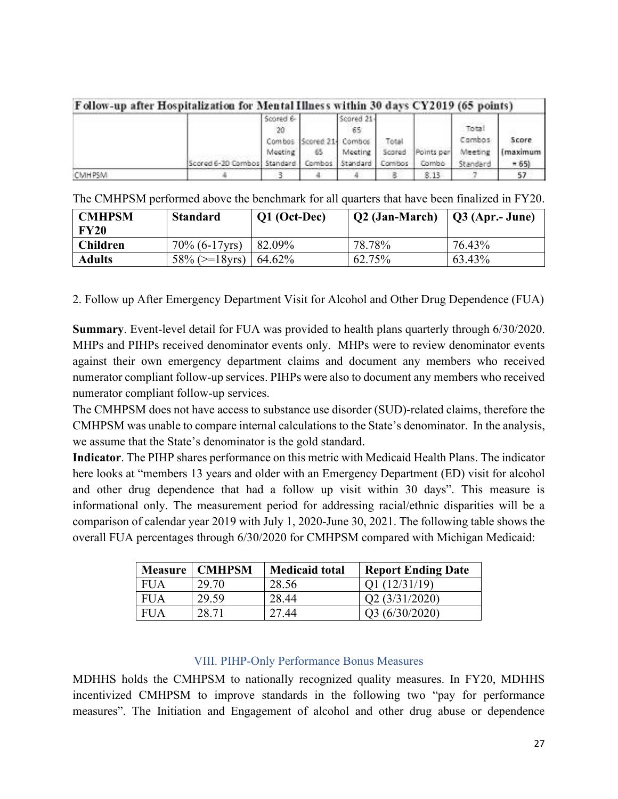|        | Follow-up after Hospitalization for Mental Illness within 30 days CY2019 (65 points) |                                |                               |                                                |                           |                     |                                        |                            |
|--------|--------------------------------------------------------------------------------------|--------------------------------|-------------------------------|------------------------------------------------|---------------------------|---------------------|----------------------------------------|----------------------------|
|        | Scored 6-20 Combos Standard                                                          | Scored 6-<br>$20 -$<br>Meeting | Combos Scored 21 Combos<br>65 | Scored 21-<br>65<br>Meeting<br>Combos Standard | Total<br>Scored<br>Combos | Points per<br>Combo | Total<br>Combos<br>Meeting<br>Standard | Score<br>(maximum<br>$-65$ |
| CMHPSM |                                                                                      |                                |                               |                                                |                           | 8.13                |                                        |                            |

|  |  |  |  |  |  | The CMHPSM performed above the benchmark for all quarters that have been finalized in FY20. |
|--|--|--|--|--|--|---------------------------------------------------------------------------------------------|
|--|--|--|--|--|--|---------------------------------------------------------------------------------------------|

| <b>CMHPSM</b><br><b>FY20</b> | <b>Standard</b>      | Q1 (Oct-Dec) | Q2 (Jan-March) | $\vert$ Q3 (Apr.- June) |
|------------------------------|----------------------|--------------|----------------|-------------------------|
| <b>Children</b>              | $70\%$ (6-17 yrs)    | 82.09%       | 78.78%         | 76.43%                  |
| <b>Adults</b>                | $58\%$ ( $>=$ 18yrs) | 64.62%       | 62.75%         | 63.43%                  |

2. Follow up After Emergency Department Visit for Alcohol and Other Drug Dependence (FUA)

**Summary**. Event-level detail for FUA was provided to health plans quarterly through 6/30/2020. MHPs and PIHPs received denominator events only. MHPs were to review denominator events against their own emergency department claims and document any members who received numerator compliant follow-up services. PIHPs were also to document any members who received numerator compliant follow-up services.

The CMHPSM does not have access to substance use disorder (SUD)-related claims, therefore the CMHPSM was unable to compare internal calculations to the State's denominator. In the analysis, we assume that the State's denominator is the gold standard.

**Indicator**. The PIHP shares performance on this metric with Medicaid Health Plans. The indicator here looks at "members 13 years and older with an Emergency Department (ED) visit for alcohol and other drug dependence that had a follow up visit within 30 days". This measure is informational only. The measurement period for addressing racial/ethnic disparities will be a comparison of calendar year 2019 with July 1, 2020-June 30, 2021. The following table shows the overall FUA percentages through 6/30/2020 for CMHPSM compared with Michigan Medicaid:

| Measure    | <b>CMHPSM</b> | <b>Medicaid total</b> | <b>Report Ending Date</b>  |
|------------|---------------|-----------------------|----------------------------|
| <b>FUA</b> | 29.70         | 28.56                 | Q1(12/31/19)               |
| <b>FUA</b> | 29.59         | 28.44                 | O <sub>2</sub> (3/31/2020) |
| <b>FUA</b> | 28.71         | 27.44                 | O3 (6/30/2020)             |

## VIII. PIHP-Only Performance Bonus Measures

MDHHS holds the CMHPSM to nationally recognized quality measures. In FY20, MDHHS incentivized CMHPSM to improve standards in the following two "pay for performance measures". The Initiation and Engagement of alcohol and other drug abuse or dependence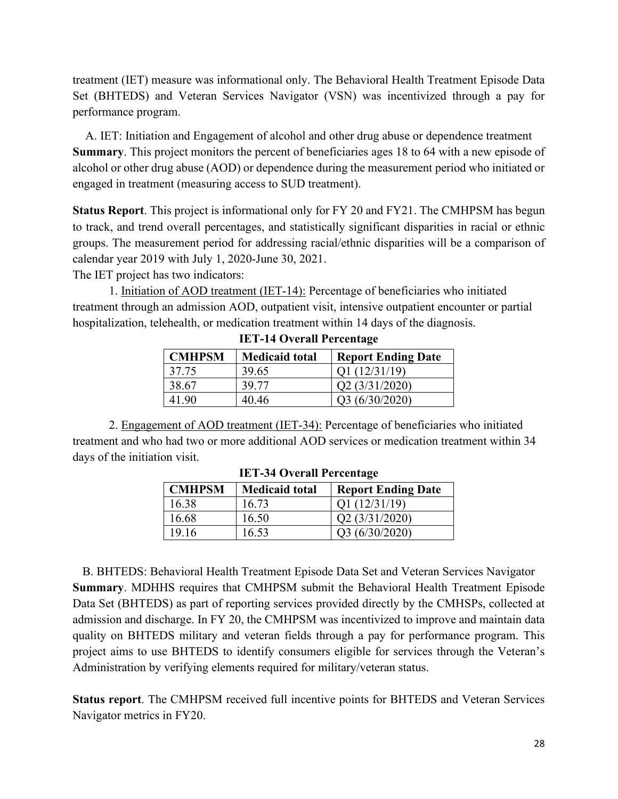treatment (IET) measure was informational only. The Behavioral Health Treatment Episode Data Set (BHTEDS) and Veteran Services Navigator (VSN) was incentivized through a pay for performance program.

A. IET: Initiation and Engagement of alcohol and other drug abuse or dependence treatment **Summary**. This project monitors the percent of beneficiaries ages 18 to 64 with a new episode of alcohol or other drug abuse (AOD) or dependence during the measurement period who initiated or engaged in treatment (measuring access to SUD treatment).

**Status Report**. This project is informational only for FY 20 and FY21. The CMHPSM has begun to track, and trend overall percentages, and statistically significant disparities in racial or ethnic groups. The measurement period for addressing racial/ethnic disparities will be a comparison of calendar year 2019 with July 1, 2020-June 30, 2021.

The IET project has two indicators:

1. Initiation of AOD treatment (IET-14): Percentage of beneficiaries who initiated treatment through an admission AOD, outpatient visit, intensive outpatient encounter or partial hospitalization, telehealth, or medication treatment within 14 days of the diagnosis.

| <b>CMHPSM</b> | <b>Medicaid total</b> | <b>Report Ending Date</b> |
|---------------|-----------------------|---------------------------|
| 37.75         | 39.65                 | Q1(12/31/19)              |
| 38.67         | 39.77                 | Q2(3/31/2020)             |
| 41 90         | 40.46                 | Q3(6/30/2020)             |

**IET-14 Overall Percentage** 

2. Engagement of AOD treatment (IET-34): Percentage of beneficiaries who initiated treatment and who had two or more additional AOD services or medication treatment within 34 days of the initiation visit.

| <b>CMHPSM</b> | <b>Medicaid total</b> | <b>Report Ending Date</b> |
|---------------|-----------------------|---------------------------|
| 16.38         | 16.73                 | Q1(12/31/19)              |
| 16.68         | 16.50                 | Q2 (3/31/2020)            |
| 19.16         | 16.53                 | Q3 (6/30/2020)            |

**IET-34 Overall Percentage** 

B. BHTEDS: Behavioral Health Treatment Episode Data Set and Veteran Services Navigator **Summary**. MDHHS requires that CMHPSM submit the Behavioral Health Treatment Episode Data Set (BHTEDS) as part of reporting services provided directly by the CMHSPs, collected at admission and discharge. In FY 20, the CMHPSM was incentivized to improve and maintain data quality on BHTEDS military and veteran fields through a pay for performance program. This project aims to use BHTEDS to identify consumers eligible for services through the Veteran's Administration by verifying elements required for military/veteran status.

**Status report**. The CMHPSM received full incentive points for BHTEDS and Veteran Services Navigator metrics in FY20.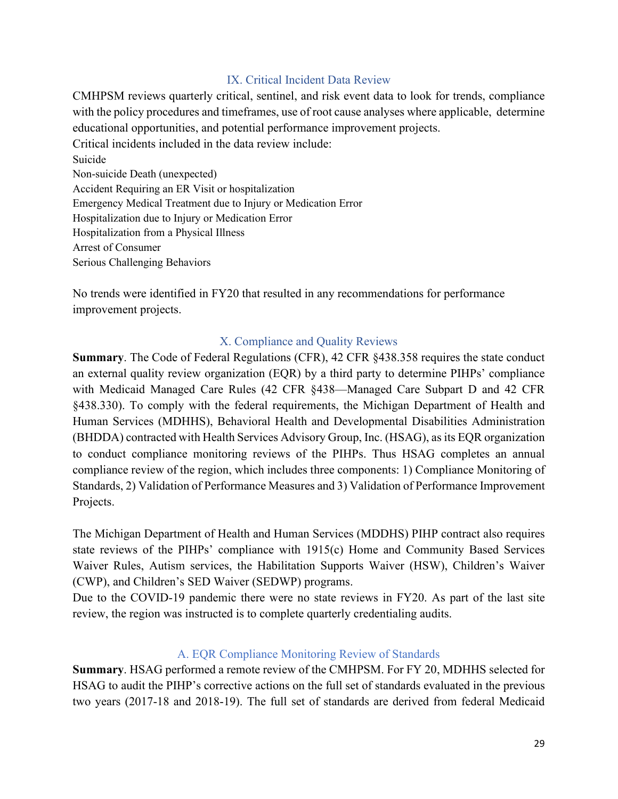### IX. Critical Incident Data Review

CMHPSM reviews quarterly critical, sentinel, and risk event data to look for trends, compliance with the policy procedures and timeframes, use of root cause analyses where applicable, determine educational opportunities, and potential performance improvement projects. Critical incidents included in the data review include: Suicide Non-suicide Death (unexpected) Accident Requiring an ER Visit or hospitalization Emergency Medical Treatment due to Injury or Medication Error

Hospitalization due to Injury or Medication Error

Hospitalization from a Physical Illness

Arrest of Consumer

Serious Challenging Behaviors

No trends were identified in FY20 that resulted in any recommendations for performance improvement projects.

## X. Compliance and Quality Reviews

**Summary**. The Code of Federal Regulations (CFR), 42 CFR §438.358 requires the state conduct an external quality review organization (EQR) by a third party to determine PIHPs' compliance with Medicaid Managed Care Rules (42 CFR §438—Managed Care Subpart D and 42 CFR §438.330). To comply with the federal requirements, the Michigan Department of Health and Human Services (MDHHS), Behavioral Health and Developmental Disabilities Administration (BHDDA) contracted with Health Services Advisory Group, Inc. (HSAG), as its EQR organization to conduct compliance monitoring reviews of the PIHPs. Thus HSAG completes an annual compliance review of the region, which includes three components: 1) Compliance Monitoring of Standards, 2) Validation of Performance Measures and 3) Validation of Performance Improvement Projects.

The Michigan Department of Health and Human Services (MDDHS) PIHP contract also requires state reviews of the PIHPs' compliance with 1915(c) Home and Community Based Services Waiver Rules, Autism services, the Habilitation Supports Waiver (HSW), Children's Waiver (CWP), and Children's SED Waiver (SEDWP) programs.

Due to the COVID-19 pandemic there were no state reviews in FY20. As part of the last site review, the region was instructed is to complete quarterly credentialing audits.

## A. EQR Compliance Monitoring Review of Standards

**Summary**. HSAG performed a remote review of the CMHPSM. For FY 20, MDHHS selected for HSAG to audit the PIHP's corrective actions on the full set of standards evaluated in the previous two years (2017-18 and 2018-19). The full set of standards are derived from federal Medicaid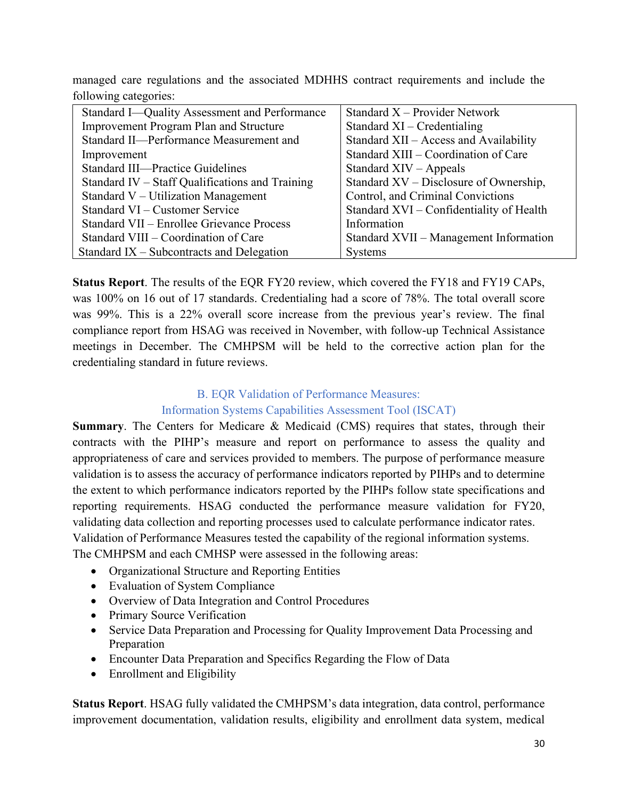managed care regulations and the associated MDHHS contract requirements and include the following categories:

| Standard I-Quality Assessment and Performance   | Standard $X$ – Provider Network          |
|-------------------------------------------------|------------------------------------------|
| <b>Improvement Program Plan and Structure</b>   | Standard $XI$ – Credentialing            |
| Standard II-Performance Measurement and         | Standard XII - Access and Availability   |
| Improvement                                     | Standard XIII – Coordination of Care     |
| <b>Standard III—Practice Guidelines</b>         | Standard $XIV -$ Appeals                 |
| Standard IV – Staff Qualifications and Training | Standard XV – Disclosure of Ownership,   |
| Standard V – Utilization Management             | Control, and Criminal Convictions        |
| Standard VI – Customer Service                  | Standard XVI – Confidentiality of Health |
| Standard VII – Enrollee Grievance Process       | Information                              |
| Standard VIII – Coordination of Care            | Standard XVII – Management Information   |
| Standard IX – Subcontracts and Delegation       | <b>Systems</b>                           |

**Status Report**. The results of the EQR FY20 review, which covered the FY18 and FY19 CAPs, was 100% on 16 out of 17 standards. Credentialing had a score of 78%. The total overall score was 99%. This is a 22% overall score increase from the previous year's review. The final compliance report from HSAG was received in November, with follow-up Technical Assistance meetings in December. The CMHPSM will be held to the corrective action plan for the credentialing standard in future reviews.

## B. EQR Validation of Performance Measures: Information Systems Capabilities Assessment Tool (ISCAT)

# **Summary**. The Centers for Medicare & Medicaid (CMS) requires that states, through their contracts with the PIHP's measure and report on performance to assess the quality and appropriateness of care and services provided to members. The purpose of performance measure validation is to assess the accuracy of performance indicators reported by PIHPs and to determine the extent to which performance indicators reported by the PIHPs follow state specifications and reporting requirements. HSAG conducted the performance measure validation for FY20, validating data collection and reporting processes used to calculate performance indicator rates. Validation of Performance Measures tested the capability of the regional information systems.

The CMHPSM and each CMHSP were assessed in the following areas:

- Organizational Structure and Reporting Entities
- Evaluation of System Compliance
- Overview of Data Integration and Control Procedures
- Primary Source Verification
- Service Data Preparation and Processing for Quality Improvement Data Processing and Preparation
- Encounter Data Preparation and Specifics Regarding the Flow of Data
- Enrollment and Eligibility

**Status Report**. HSAG fully validated the CMHPSM's data integration, data control, performance improvement documentation, validation results, eligibility and enrollment data system, medical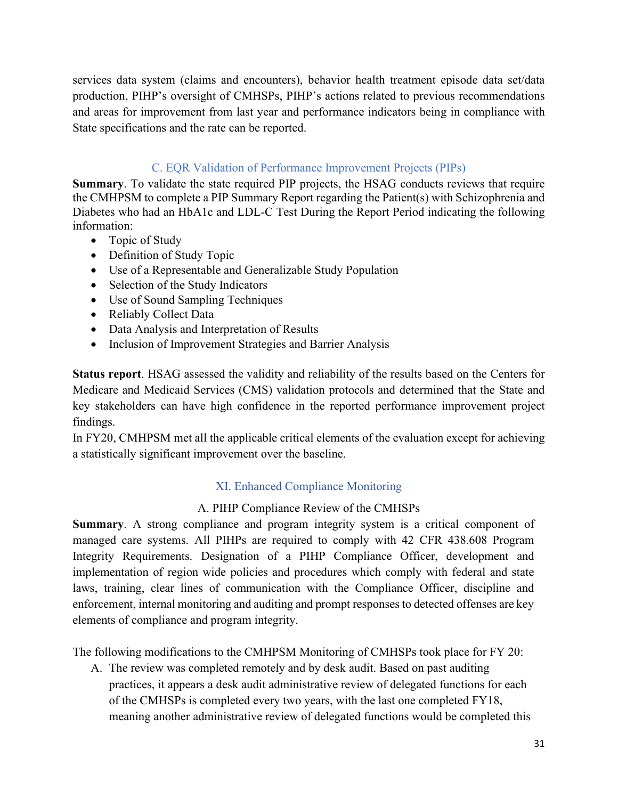services data system (claims and encounters), behavior health treatment episode data set/data production, PIHP's oversight of CMHSPs, PIHP's actions related to previous recommendations and areas for improvement from last year and performance indicators being in compliance with State specifications and the rate can be reported.

## C. EQR Validation of Performance Improvement Projects (PIPs)

**Summary**. To validate the state required PIP projects, the HSAG conducts reviews that require the CMHPSM to complete a PIP Summary Report regarding the Patient(s) with Schizophrenia and Diabetes who had an HbA1c and LDL-C Test During the Report Period indicating the following information:

- Topic of Study
- Definition of Study Topic
- Use of a Representable and Generalizable Study Population
- Selection of the Study Indicators
- Use of Sound Sampling Techniques
- Reliably Collect Data
- Data Analysis and Interpretation of Results
- Inclusion of Improvement Strategies and Barrier Analysis

**Status report**. HSAG assessed the validity and reliability of the results based on the Centers for Medicare and Medicaid Services (CMS) validation protocols and determined that the State and key stakeholders can have high confidence in the reported performance improvement project findings.

In FY20, CMHPSM met all the applicable critical elements of the evaluation except for achieving a statistically significant improvement over the baseline.

# XI. Enhanced Compliance Monitoring

## A. PIHP Compliance Review of the CMHSPs

**Summary**. A strong compliance and program integrity system is a critical component of managed care systems. All PIHPs are required to comply with 42 CFR 438.608 Program Integrity Requirements. Designation of a PIHP Compliance Officer, development and implementation of region wide policies and procedures which comply with federal and state laws, training, clear lines of communication with the Compliance Officer, discipline and enforcement, internal monitoring and auditing and prompt responses to detected offenses are key elements of compliance and program integrity.

The following modifications to the CMHPSM Monitoring of CMHSPs took place for FY 20:

A. The review was completed remotely and by desk audit. Based on past auditing practices, it appears a desk audit administrative review of delegated functions for each of the CMHSPs is completed every two years, with the last one completed FY18, meaning another administrative review of delegated functions would be completed this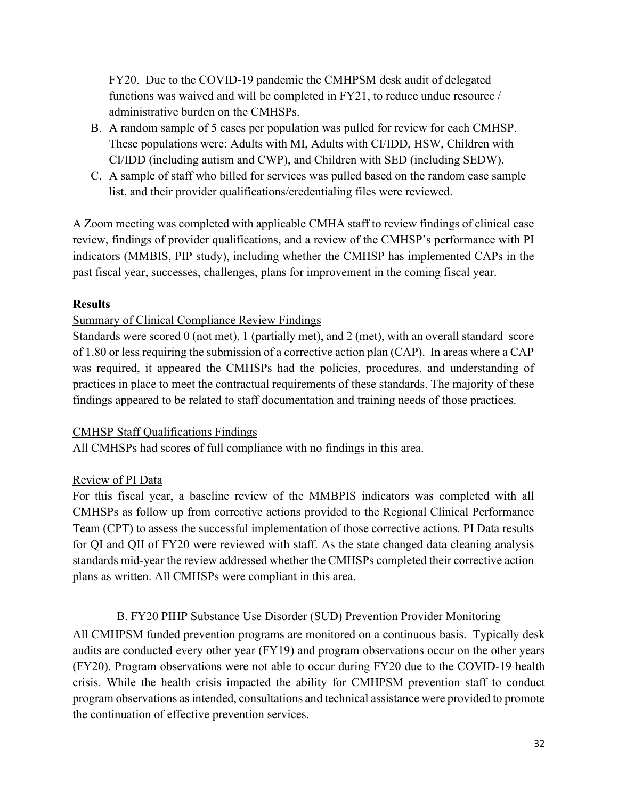FY20. Due to the COVID-19 pandemic the CMHPSM desk audit of delegated functions was waived and will be completed in FY21, to reduce undue resource / administrative burden on the CMHSPs.

- B. A random sample of 5 cases per population was pulled for review for each CMHSP. These populations were: Adults with MI, Adults with CI/IDD, HSW, Children with CI/IDD (including autism and CWP), and Children with SED (including SEDW).
- C. A sample of staff who billed for services was pulled based on the random case sample list, and their provider qualifications/credentialing files were reviewed.

A Zoom meeting was completed with applicable CMHA staff to review findings of clinical case review, findings of provider qualifications, and a review of the CMHSP's performance with PI indicators (MMBIS, PIP study), including whether the CMHSP has implemented CAPs in the past fiscal year, successes, challenges, plans for improvement in the coming fiscal year.

## **Results**

## Summary of Clinical Compliance Review Findings

Standards were scored 0 (not met), 1 (partially met), and 2 (met), with an overall standard score of 1.80 or less requiring the submission of a corrective action plan (CAP). In areas where a CAP was required, it appeared the CMHSPs had the policies, procedures, and understanding of practices in place to meet the contractual requirements of these standards. The majority of these findings appeared to be related to staff documentation and training needs of those practices.

## CMHSP Staff Qualifications Findings

All CMHSPs had scores of full compliance with no findings in this area.

# Review of PI Data

For this fiscal year, a baseline review of the MMBPIS indicators was completed with all CMHSPs as follow up from corrective actions provided to the Regional Clinical Performance Team (CPT) to assess the successful implementation of those corrective actions. PI Data results for QI and QII of FY20 were reviewed with staff. As the state changed data cleaning analysis standards mid-year the review addressed whether the CMHSPs completed their corrective action plans as written. All CMHSPs were compliant in this area.

# B. FY20 PIHP Substance Use Disorder (SUD) Prevention Provider Monitoring

All CMHPSM funded prevention programs are monitored on a continuous basis. Typically desk audits are conducted every other year (FY19) and program observations occur on the other years (FY20). Program observations were not able to occur during FY20 due to the COVID-19 health crisis. While the health crisis impacted the ability for CMHPSM prevention staff to conduct program observations as intended, consultations and technical assistance were provided to promote the continuation of effective prevention services.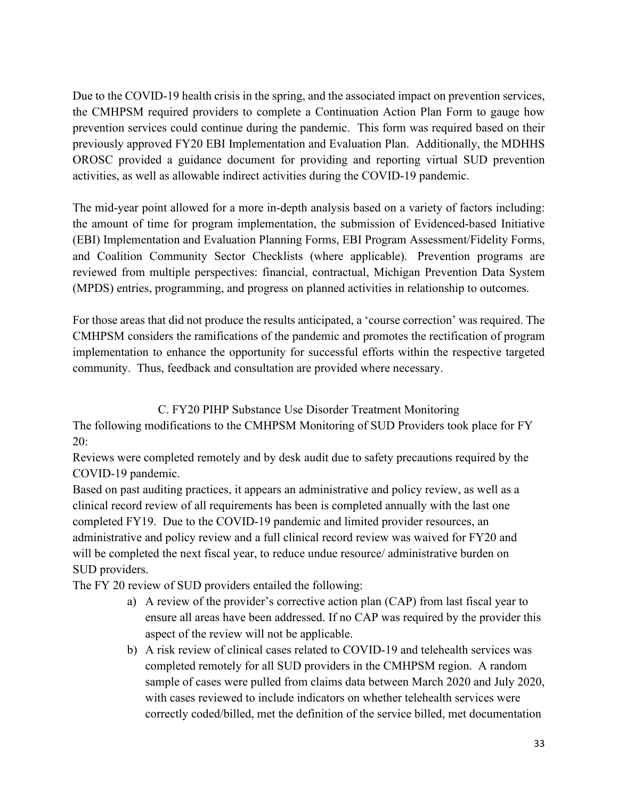Due to the COVID-19 health crisis in the spring, and the associated impact on prevention services, the CMHPSM required providers to complete a Continuation Action Plan Form to gauge how prevention services could continue during the pandemic. This form was required based on their previously approved FY20 EBI Implementation and Evaluation Plan. Additionally, the MDHHS OROSC provided a guidance document for providing and reporting virtual SUD prevention activities, as well as allowable indirect activities during the COVID-19 pandemic.

The mid-year point allowed for a more in-depth analysis based on a variety of factors including: the amount of time for program implementation, the submission of Evidenced-based Initiative (EBI) Implementation and Evaluation Planning Forms, EBI Program Assessment/Fidelity Forms, and Coalition Community Sector Checklists (where applicable). Prevention programs are reviewed from multiple perspectives: financial, contractual, Michigan Prevention Data System (MPDS) entries, programming, and progress on planned activities in relationship to outcomes.

For those areas that did not produce the results anticipated, a 'course correction' was required. The CMHPSM considers the ramifications of the pandemic and promotes the rectification of program implementation to enhance the opportunity for successful efforts within the respective targeted community. Thus, feedback and consultation are provided where necessary.

C. FY20 PIHP Substance Use Disorder Treatment Monitoring

The following modifications to the CMHPSM Monitoring of SUD Providers took place for FY 20:

Reviews were completed remotely and by desk audit due to safety precautions required by the COVID-19 pandemic.

Based on past auditing practices, it appears an administrative and policy review, as well as a clinical record review of all requirements has been is completed annually with the last one completed FY19. Due to the COVID-19 pandemic and limited provider resources, an administrative and policy review and a full clinical record review was waived for FY20 and will be completed the next fiscal year, to reduce undue resource/ administrative burden on SUD providers.

The FY 20 review of SUD providers entailed the following:

- a) A review of the provider's corrective action plan (CAP) from last fiscal year to ensure all areas have been addressed. If no CAP was required by the provider this aspect of the review will not be applicable.
- b) A risk review of clinical cases related to COVID-19 and telehealth services was completed remotely for all SUD providers in the CMHPSM region. A random sample of cases were pulled from claims data between March 2020 and July 2020, with cases reviewed to include indicators on whether telehealth services were correctly coded/billed, met the definition of the service billed, met documentation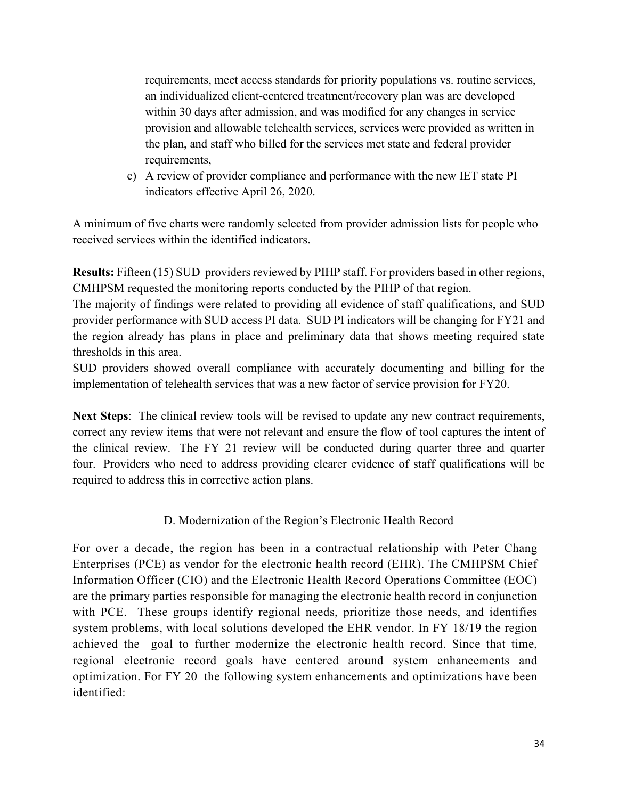requirements, meet access standards for priority populations vs. routine services, an individualized client-centered treatment/recovery plan was are developed within 30 days after admission, and was modified for any changes in service provision and allowable telehealth services, services were provided as written in the plan, and staff who billed for the services met state and federal provider requirements,

c) A review of provider compliance and performance with the new IET state PI indicators effective April 26, 2020.

A minimum of five charts were randomly selected from provider admission lists for people who received services within the identified indicators.

**Results:** Fifteen (15) SUD providers reviewed by PIHP staff. For providers based in other regions, CMHPSM requested the monitoring reports conducted by the PIHP of that region.

The majority of findings were related to providing all evidence of staff qualifications, and SUD provider performance with SUD access PI data. SUD PI indicators will be changing for FY21 and the region already has plans in place and preliminary data that shows meeting required state thresholds in this area.

SUD providers showed overall compliance with accurately documenting and billing for the implementation of telehealth services that was a new factor of service provision for FY20.

**Next Steps**: The clinical review tools will be revised to update any new contract requirements, correct any review items that were not relevant and ensure the flow of tool captures the intent of the clinical review. The FY 21 review will be conducted during quarter three and quarter four. Providers who need to address providing clearer evidence of staff qualifications will be required to address this in corrective action plans.

## D. Modernization of the Region's Electronic Health Record

For over a decade, the region has been in a contractual relationship with Peter Chang Enterprises (PCE) as vendor for the electronic health record (EHR). The CMHPSM Chief Information Officer (CIO) and the Electronic Health Record Operations Committee (EOC) are the primary parties responsible for managing the electronic health record in conjunction with PCE. These groups identify regional needs, prioritize those needs, and identifies system problems, with local solutions developed the EHR vendor. In FY 18/19 the region achieved the goal to further modernize the electronic health record. Since that time, regional electronic record goals have centered around system enhancements and optimization. For FY 20 the following system enhancements and optimizations have been identified: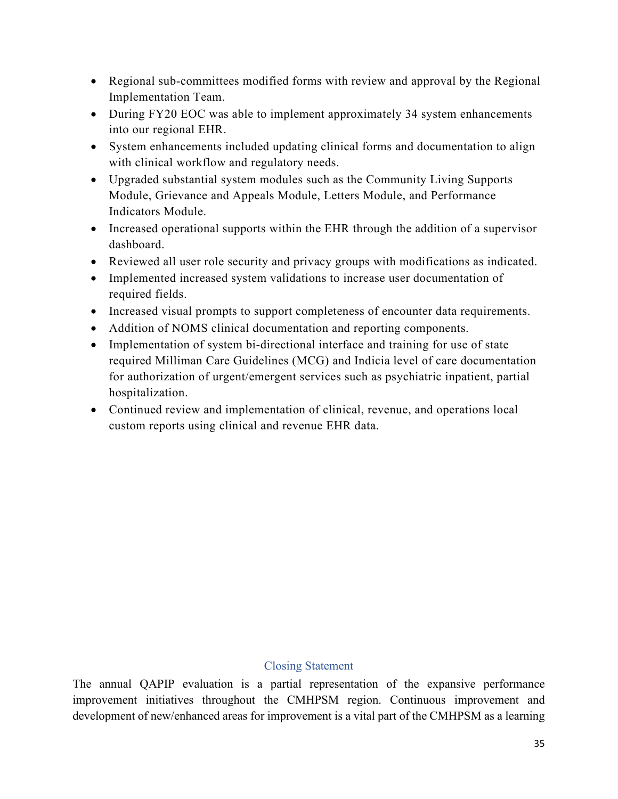- Regional sub-committees modified forms with review and approval by the Regional Implementation Team.
- During FY20 EOC was able to implement approximately 34 system enhancements into our regional EHR.
- System enhancements included updating clinical forms and documentation to align with clinical workflow and regulatory needs.
- Upgraded substantial system modules such as the Community Living Supports Module, Grievance and Appeals Module, Letters Module, and Performance Indicators Module.
- Increased operational supports within the EHR through the addition of a supervisor dashboard.
- Reviewed all user role security and privacy groups with modifications as indicated.
- Implemented increased system validations to increase user documentation of required fields.
- Increased visual prompts to support completeness of encounter data requirements.
- Addition of NOMS clinical documentation and reporting components.
- Implementation of system bi-directional interface and training for use of state required Milliman Care Guidelines (MCG) and Indicia level of care documentation for authorization of urgent/emergent services such as psychiatric inpatient, partial hospitalization.
- Continued review and implementation of clinical, revenue, and operations local custom reports using clinical and revenue EHR data.

### Closing Statement

The annual QAPIP evaluation is a partial representation of the expansive performance improvement initiatives throughout the CMHPSM region. Continuous improvement and development of new/enhanced areas for improvement is a vital part of the CMHPSM as a learning